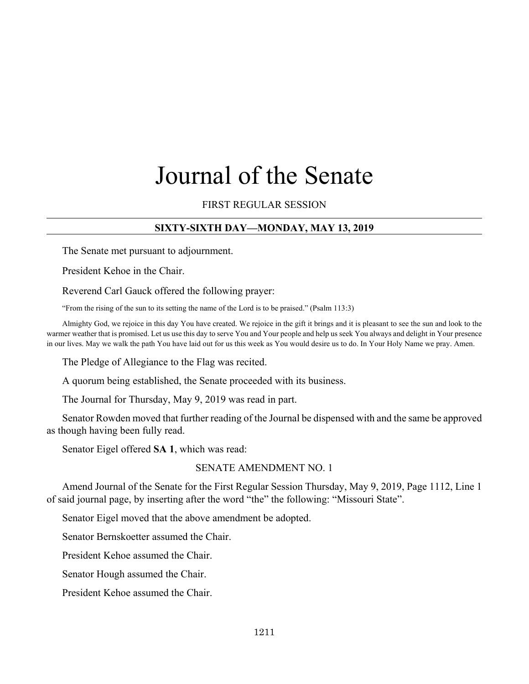# Journal of the Senate

FIRST REGULAR SESSION

# **SIXTY-SIXTH DAY—MONDAY, MAY 13, 2019**

The Senate met pursuant to adjournment.

President Kehoe in the Chair.

Reverend Carl Gauck offered the following prayer:

"From the rising of the sun to its setting the name of the Lord is to be praised." (Psalm 113:3)

Almighty God, we rejoice in this day You have created. We rejoice in the gift it brings and it is pleasant to see the sun and look to the warmer weather that is promised. Let us use this day to serve You and Your people and help us seek You always and delight in Your presence in our lives. May we walk the path You have laid out for us this week as You would desire us to do. In Your Holy Name we pray. Amen.

The Pledge of Allegiance to the Flag was recited.

A quorum being established, the Senate proceeded with its business.

The Journal for Thursday, May 9, 2019 was read in part.

Senator Rowden moved that further reading of the Journal be dispensed with and the same be approved as though having been fully read.

Senator Eigel offered **SA 1**, which was read:

#### SENATE AMENDMENT NO. 1

Amend Journal of the Senate for the First Regular Session Thursday, May 9, 2019, Page 1112, Line 1 of said journal page, by inserting after the word "the" the following: "Missouri State".

Senator Eigel moved that the above amendment be adopted.

Senator Bernskoetter assumed the Chair.

President Kehoe assumed the Chair.

Senator Hough assumed the Chair.

President Kehoe assumed the Chair.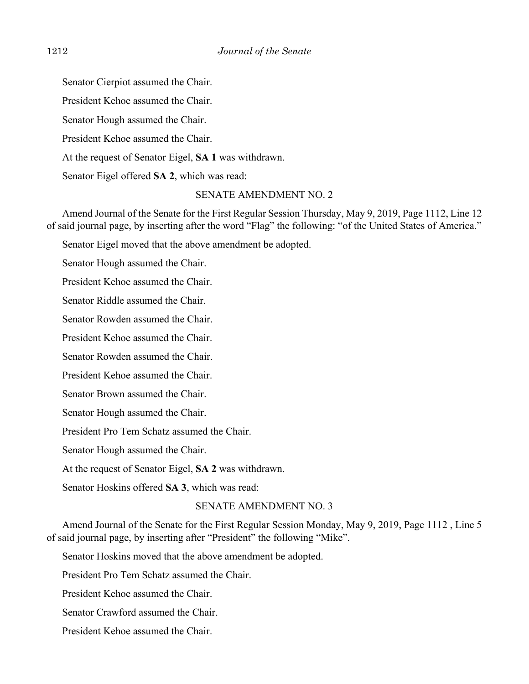Senator Cierpiot assumed the Chair.

President Kehoe assumed the Chair.

Senator Hough assumed the Chair.

President Kehoe assumed the Chair.

At the request of Senator Eigel, **SA 1** was withdrawn.

Senator Eigel offered **SA 2**, which was read:

# SENATE AMENDMENT NO. 2

Amend Journal of the Senate for the First Regular Session Thursday, May 9, 2019, Page 1112, Line 12 of said journal page, by inserting after the word "Flag" the following: "of the United States of America."

Senator Eigel moved that the above amendment be adopted.

Senator Hough assumed the Chair.

President Kehoe assumed the Chair.

Senator Riddle assumed the Chair.

Senator Rowden assumed the Chair.

President Kehoe assumed the Chair.

Senator Rowden assumed the Chair.

President Kehoe assumed the Chair.

Senator Brown assumed the Chair.

Senator Hough assumed the Chair.

President Pro Tem Schatz assumed the Chair.

Senator Hough assumed the Chair.

At the request of Senator Eigel, **SA 2** was withdrawn.

Senator Hoskins offered **SA 3**, which was read:

#### SENATE AMENDMENT NO. 3

Amend Journal of the Senate for the First Regular Session Monday, May 9, 2019, Page 1112 , Line 5 of said journal page, by inserting after "President" the following "Mike".

Senator Hoskins moved that the above amendment be adopted.

President Pro Tem Schatz assumed the Chair.

President Kehoe assumed the Chair.

Senator Crawford assumed the Chair.

President Kehoe assumed the Chair.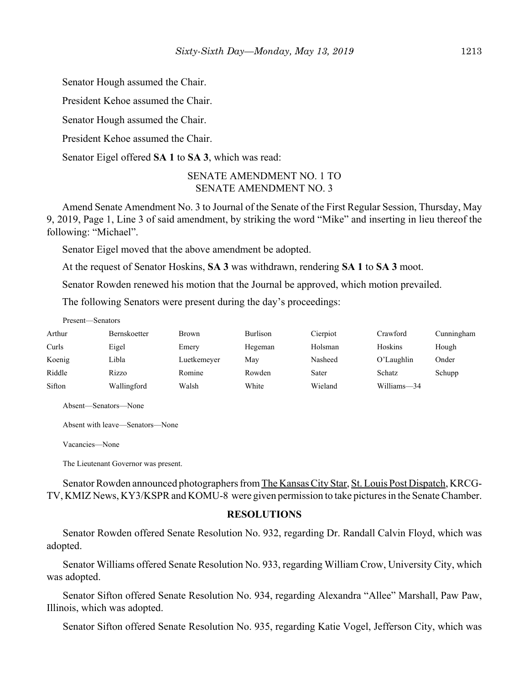Senator Hough assumed the Chair.

President Kehoe assumed the Chair.

Senator Hough assumed the Chair.

President Kehoe assumed the Chair.

Senator Eigel offered **SA 1** to **SA 3**, which was read:

# SENATE AMENDMENT NO. 1 TO SENATE AMENDMENT NO. 3

Amend Senate Amendment No. 3 to Journal of the Senate of the First Regular Session, Thursday, May 9, 2019, Page 1, Line 3 of said amendment, by striking the word "Mike" and inserting in lieu thereof the following: "Michael".

Senator Eigel moved that the above amendment be adopted.

At the request of Senator Hoskins, **SA 3** was withdrawn, rendering **SA 1** to **SA 3** moot.

Senator Rowden renewed his motion that the Journal be approved, which motion prevailed.

The following Senators were present during the day's proceedings:

#### Present—Senators

| Arthur | Bernskoetter | Brown       | Burlison | Cierpiot | Crawford    | Cunningham |
|--------|--------------|-------------|----------|----------|-------------|------------|
| Curls  | Eigel        | Emery       | Hegeman  | Holsman  | Hoskins     | Hough      |
| Koenig | Libla        | Luetkemeyer | Mav      | Nasheed  | O'Laughlin  | Onder      |
| Riddle | Rizzo        | Romine      | Rowden   | Sater    | Schatz      | Schupp     |
| Sifton | Wallingford  | Walsh       | White    | Wieland  | Williams-34 |            |

Absent—Senators—None

Absent with leave—Senators—None

Vacancies—None

The Lieutenant Governor was present.

Senator Rowden announced photographers from The Kansas City Star, St. Louis Post Dispatch, KRCG-TV, KMIZ News, KY3/KSPR and KOMU-8 were given permission to take pictures in the Senate Chamber.

#### **RESOLUTIONS**

Senator Rowden offered Senate Resolution No. 932, regarding Dr. Randall Calvin Floyd, which was adopted.

Senator Williams offered Senate Resolution No. 933, regarding William Crow, University City, which was adopted.

Senator Sifton offered Senate Resolution No. 934, regarding Alexandra "Allee" Marshall, Paw Paw, Illinois, which was adopted.

Senator Sifton offered Senate Resolution No. 935, regarding Katie Vogel, Jefferson City, which was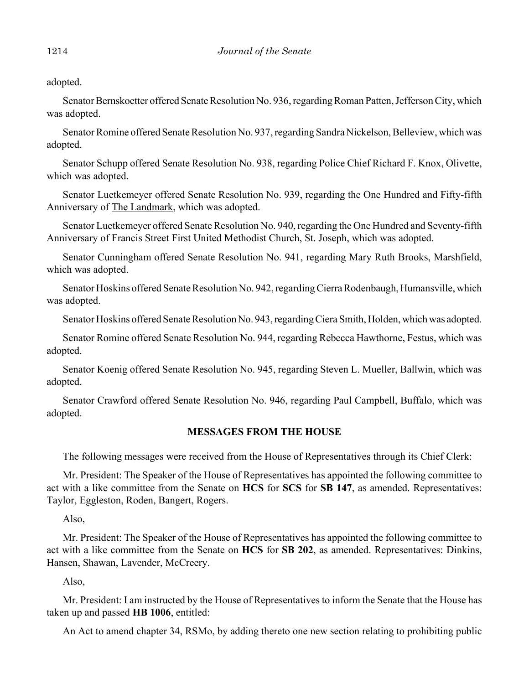adopted.

Senator Bernskoetter offered Senate Resolution No. 936, regarding Roman Patten, Jefferson City, which was adopted.

Senator Romine offered Senate Resolution No. 937, regarding Sandra Nickelson, Belleview, which was adopted.

Senator Schupp offered Senate Resolution No. 938, regarding Police Chief Richard F. Knox, Olivette, which was adopted.

Senator Luetkemeyer offered Senate Resolution No. 939, regarding the One Hundred and Fifty-fifth Anniversary of The Landmark, which was adopted.

Senator Luetkemeyer offered Senate Resolution No. 940, regarding the One Hundred and Seventy-fifth Anniversary of Francis Street First United Methodist Church, St. Joseph, which was adopted.

Senator Cunningham offered Senate Resolution No. 941, regarding Mary Ruth Brooks, Marshfield, which was adopted.

Senator Hoskins offered Senate Resolution No. 942, regarding Cierra Rodenbaugh, Humansville, which was adopted.

Senator Hoskins offered Senate Resolution No. 943, regarding Ciera Smith, Holden, which was adopted.

Senator Romine offered Senate Resolution No. 944, regarding Rebecca Hawthorne, Festus, which was adopted.

Senator Koenig offered Senate Resolution No. 945, regarding Steven L. Mueller, Ballwin, which was adopted.

Senator Crawford offered Senate Resolution No. 946, regarding Paul Campbell, Buffalo, which was adopted.

# **MESSAGES FROM THE HOUSE**

The following messages were received from the House of Representatives through its Chief Clerk:

Mr. President: The Speaker of the House of Representatives has appointed the following committee to act with a like committee from the Senate on **HCS** for **SCS** for **SB 147**, as amended. Representatives: Taylor, Eggleston, Roden, Bangert, Rogers.

Also,

Mr. President: The Speaker of the House of Representatives has appointed the following committee to act with a like committee from the Senate on **HCS** for **SB 202**, as amended. Representatives: Dinkins, Hansen, Shawan, Lavender, McCreery.

Also,

Mr. President: I am instructed by the House of Representatives to inform the Senate that the House has taken up and passed **HB 1006**, entitled:

An Act to amend chapter 34, RSMo, by adding thereto one new section relating to prohibiting public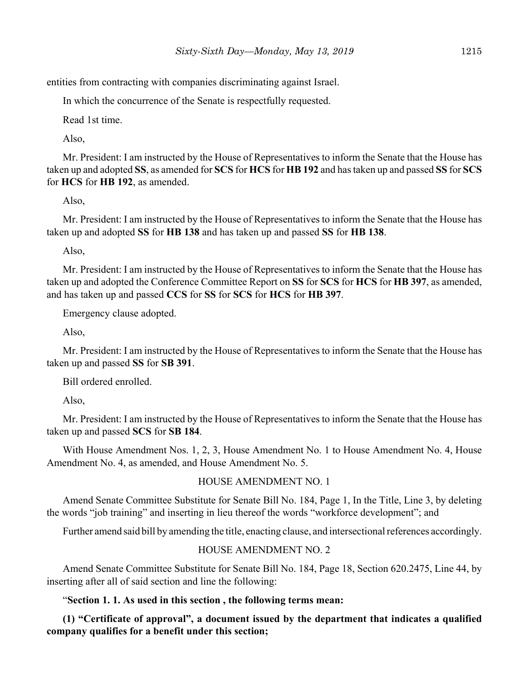entities from contracting with companies discriminating against Israel.

In which the concurrence of the Senate is respectfully requested.

Read 1st time.

Also,

Mr. President: I am instructed by the House of Representatives to inform the Senate that the House has taken up and adopted **SS**, as amended for **SCS** for **HCS** for **HB 192** and has taken up and passed **SS** for **SCS** for **HCS** for **HB 192**, as amended.

Also,

Mr. President: I am instructed by the House of Representatives to inform the Senate that the House has taken up and adopted **SS** for **HB 138** and has taken up and passed **SS** for **HB 138**.

Also,

Mr. President: I am instructed by the House of Representatives to inform the Senate that the House has taken up and adopted the Conference Committee Report on **SS** for **SCS** for **HCS** for **HB 397**, as amended, and has taken up and passed **CCS** for **SS** for **SCS** for **HCS** for **HB 397**.

Emergency clause adopted.

Also,

Mr. President: I am instructed by the House of Representatives to inform the Senate that the House has taken up and passed **SS** for **SB 391**.

Bill ordered enrolled.

Also,

Mr. President: I am instructed by the House of Representatives to inform the Senate that the House has taken up and passed **SCS** for **SB 184**.

With House Amendment Nos. 1, 2, 3, House Amendment No. 1 to House Amendment No. 4, House Amendment No. 4, as amended, and House Amendment No. 5.

HOUSE AMENDMENT NO. 1

Amend Senate Committee Substitute for Senate Bill No. 184, Page 1, In the Title, Line 3, by deleting the words "job training" and inserting in lieu thereof the words "workforce development"; and

Further amend said bill by amending the title, enacting clause, and intersectional references accordingly.

#### HOUSE AMENDMENT NO. 2

Amend Senate Committee Substitute for Senate Bill No. 184, Page 18, Section 620.2475, Line 44, by inserting after all of said section and line the following:

#### "**Section 1. 1. As used in this section , the following terms mean:**

**(1) "Certificate of approval", a document issued by the department that indicates a qualified company qualifies for a benefit under this section;**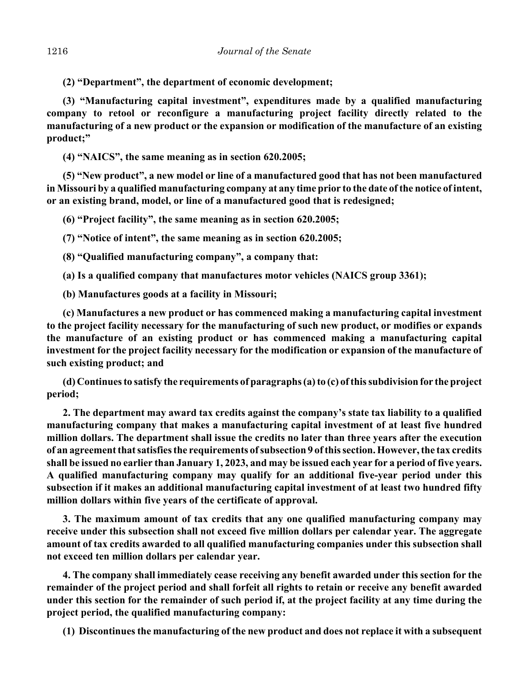**(2) "Department", the department of economic development;**

**(3) "Manufacturing capital investment", expenditures made by a qualified manufacturing company to retool or reconfigure a manufacturing project facility directly related to the manufacturing of a new product or the expansion or modification of the manufacture of an existing product;"**

**(4) "NAICS", the same meaning as in section 620.2005;** 

**(5) "New product", a new model or line of a manufactured good that has not been manufactured in Missouri by a qualified manufacturing company at any time prior to the date of the notice of intent, or an existing brand, model, or line of a manufactured good that is redesigned;**

**(6) "Project facility", the same meaning as in section 620.2005;** 

**(7) "Notice of intent", the same meaning as in section 620.2005;** 

**(8) "Qualified manufacturing company", a company that:**

**(a) Is a qualified company that manufactures motor vehicles (NAICS group 3361);**

**(b) Manufactures goods at a facility in Missouri;** 

**(c) Manufactures a new product or has commenced making a manufacturing capital investment to the project facility necessary for the manufacturing of such new product, or modifies or expands the manufacture of an existing product or has commenced making a manufacturing capital investment for the project facility necessary for the modification or expansion of the manufacture of such existing product; and** 

**(d) Continues to satisfy the requirements of paragraphs (a) to (c) of this subdivision for the project period;** 

**2. The department may award tax credits against the company's state tax liability to a qualified manufacturing company that makes a manufacturing capital investment of at least five hundred million dollars. The department shall issue the credits no later than three years after the execution of an agreement that satisfies the requirements of subsection 9 of this section. However, the tax credits shall be issued no earlier than January 1, 2023, and may be issued each year for a period of five years. A qualified manufacturing company may qualify for an additional five-year period under this subsection if it makes an additional manufacturing capital investment of at least two hundred fifty million dollars within five years of the certificate of approval.** 

**3. The maximum amount of tax credits that any one qualified manufacturing company may receive under this subsection shall not exceed five million dollars per calendar year. The aggregate amount of tax credits awarded to all qualified manufacturing companies under this subsection shall not exceed ten million dollars per calendar year.** 

**4. The company shall immediately cease receiving any benefit awarded under this section for the remainder of the project period and shall forfeit all rights to retain or receive any benefit awarded under this section for the remainder of such period if, at the project facility at any time during the project period, the qualified manufacturing company:**

**(1) Discontinues the manufacturing of the new product and does not replace it with a subsequent**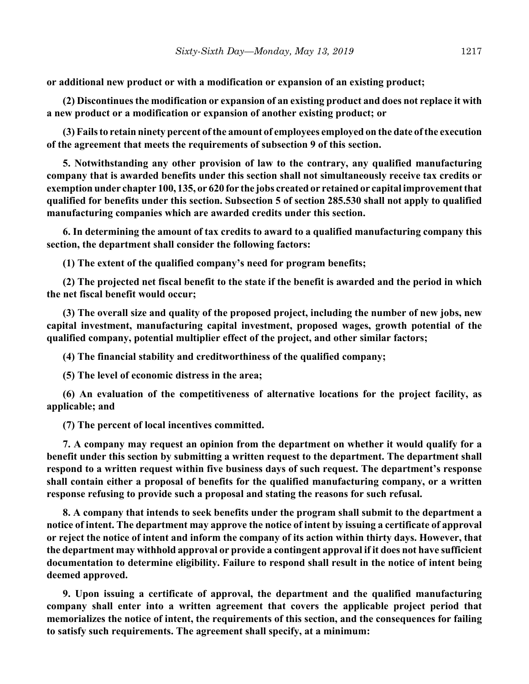**or additional new product or with a modification or expansion of an existing product;**

**(2) Discontinues the modification or expansion of an existing product and does not replace it with a new product or a modification or expansion of another existing product; or**

**(3) Fails to retain ninety percent of the amount of employees employed on the date of the execution of the agreement that meets the requirements of subsection 9 of this section.**

**5. Notwithstanding any other provision of law to the contrary, any qualified manufacturing company that is awarded benefits under this section shall not simultaneously receive tax credits or exemption under chapter 100, 135, or 620 for the jobs created or retained or capital improvement that qualified for benefits under this section. Subsection 5 of section 285.530 shall not apply to qualified manufacturing companies which are awarded credits under this section.**

**6. In determining the amount of tax credits to award to a qualified manufacturing company this section, the department shall consider the following factors:** 

**(1) The extent of the qualified company's need for program benefits;** 

**(2) The projected net fiscal benefit to the state if the benefit is awarded and the period in which the net fiscal benefit would occur;** 

**(3) The overall size and quality of the proposed project, including the number of new jobs, new capital investment, manufacturing capital investment, proposed wages, growth potential of the qualified company, potential multiplier effect of the project, and other similar factors;** 

**(4) The financial stability and creditworthiness of the qualified company;** 

**(5) The level of economic distress in the area;** 

**(6) An evaluation of the competitiveness of alternative locations for the project facility, as applicable; and** 

**(7) The percent of local incentives committed.**

**7. A company may request an opinion from the department on whether it would qualify for a benefit under this section by submitting a written request to the department. The department shall respond to a written request within five business days of such request. The department's response shall contain either a proposal of benefits for the qualified manufacturing company, or a written response refusing to provide such a proposal and stating the reasons for such refusal.** 

**8. A company that intends to seek benefits under the program shall submit to the department a notice of intent. The department may approve the notice of intent by issuing a certificate of approval or reject the notice of intent and inform the company of its action within thirty days. However, that the department may withhold approval or provide a contingent approval if it does not have sufficient documentation to determine eligibility. Failure to respond shall result in the notice of intent being deemed approved.** 

**9. Upon issuing a certificate of approval, the department and the qualified manufacturing company shall enter into a written agreement that covers the applicable project period that memorializes the notice of intent, the requirements of this section, and the consequences for failing to satisfy such requirements. The agreement shall specify, at a minimum:**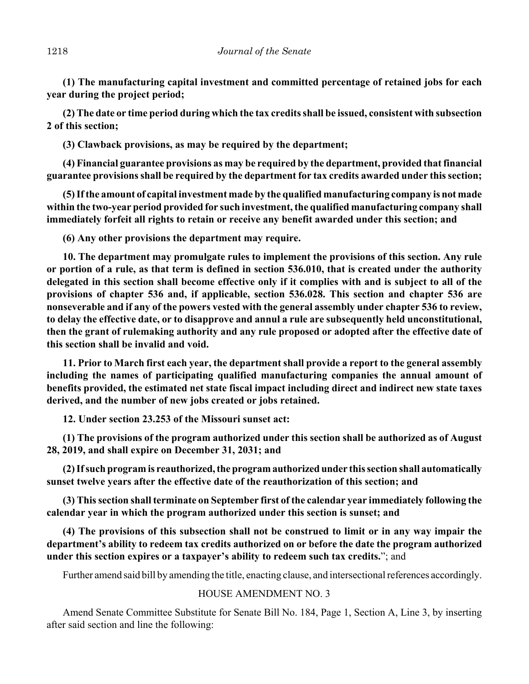**(1) The manufacturing capital investment and committed percentage of retained jobs for each year during the project period;** 

**(2) The date or time period during which the tax credits shall be issued, consistent with subsection 2 of this section;**

**(3) Clawback provisions, as may be required by the department;**

**(4) Financial guarantee provisions as may be required by the department, provided that financial guarantee provisions shall be required by the department for tax credits awarded under this section;** 

**(5) If the amount of capital investment made by the qualified manufacturing company is not made within the two-year period provided for such investment, the qualified manufacturing company shall immediately forfeit all rights to retain or receive any benefit awarded under this section; and** 

**(6) Any other provisions the department may require.**

**10. The department may promulgate rules to implement the provisions of this section. Any rule or portion of a rule, as that term is defined in section 536.010, that is created under the authority delegated in this section shall become effective only if it complies with and is subject to all of the provisions of chapter 536 and, if applicable, section 536.028. This section and chapter 536 are nonseverable and if any of the powers vested with the general assembly under chapter 536 to review, to delay the effective date, or to disapprove and annul a rule are subsequently held unconstitutional, then the grant of rulemaking authority and any rule proposed or adopted after the effective date of this section shall be invalid and void.**

**11. Prior to March first each year, the department shall provide a report to the general assembly including the names of participating qualified manufacturing companies the annual amount of benefits provided, the estimated net state fiscal impact including direct and indirect new state taxes derived, and the number of new jobs created or jobs retained.**

**12. Under section 23.253 of the Missouri sunset act:** 

**(1) The provisions of the program authorized under this section shall be authorized as of August 28, 2019, and shall expire on December 31, 2031; and** 

**(2) If such program is reauthorized, the program authorized under this section shall automatically sunset twelve years after the effective date of the reauthorization of this section; and** 

**(3) This section shall terminate on September first of the calendar year immediately following the calendar year in which the program authorized under this section is sunset; and**

**(4) The provisions of this subsection shall not be construed to limit or in any way impair the department's ability to redeem tax credits authorized on or before the date the program authorized under this section expires or a taxpayer's ability to redeem such tax credits.**"; and

Further amend said bill by amending the title, enacting clause, and intersectional references accordingly.

# HOUSE AMENDMENT NO. 3

Amend Senate Committee Substitute for Senate Bill No. 184, Page 1, Section A, Line 3, by inserting after said section and line the following: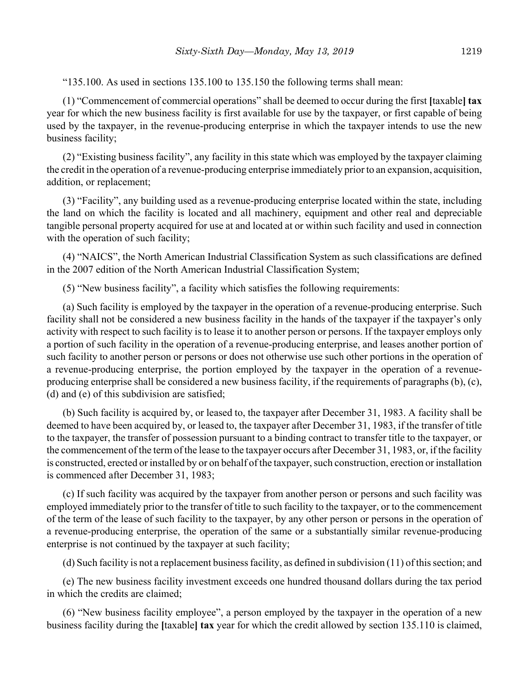"135.100. As used in sections 135.100 to 135.150 the following terms shall mean:

(1) "Commencement of commercial operations" shall be deemed to occur during the first **[**taxable**] tax** year for which the new business facility is first available for use by the taxpayer, or first capable of being used by the taxpayer, in the revenue-producing enterprise in which the taxpayer intends to use the new business facility;

(2) "Existing business facility", any facility in this state which was employed by the taxpayer claiming the credit in the operation of a revenue-producing enterprise immediately prior to an expansion, acquisition, addition, or replacement;

(3) "Facility", any building used as a revenue-producing enterprise located within the state, including the land on which the facility is located and all machinery, equipment and other real and depreciable tangible personal property acquired for use at and located at or within such facility and used in connection with the operation of such facility;

(4) "NAICS", the North American Industrial Classification System as such classifications are defined in the 2007 edition of the North American Industrial Classification System;

(5) "New business facility", a facility which satisfies the following requirements:

(a) Such facility is employed by the taxpayer in the operation of a revenue-producing enterprise. Such facility shall not be considered a new business facility in the hands of the taxpayer if the taxpayer's only activity with respect to such facility is to lease it to another person or persons. If the taxpayer employs only a portion of such facility in the operation of a revenue-producing enterprise, and leases another portion of such facility to another person or persons or does not otherwise use such other portions in the operation of a revenue-producing enterprise, the portion employed by the taxpayer in the operation of a revenueproducing enterprise shall be considered a new business facility, if the requirements of paragraphs (b), (c), (d) and (e) of this subdivision are satisfied;

(b) Such facility is acquired by, or leased to, the taxpayer after December 31, 1983. A facility shall be deemed to have been acquired by, or leased to, the taxpayer after December 31, 1983, if the transfer of title to the taxpayer, the transfer of possession pursuant to a binding contract to transfer title to the taxpayer, or the commencement of the term of the lease to the taxpayer occurs after December 31, 1983, or, if the facility is constructed, erected or installed by or on behalf of the taxpayer, such construction, erection or installation is commenced after December 31, 1983;

(c) If such facility was acquired by the taxpayer from another person or persons and such facility was employed immediately prior to the transfer of title to such facility to the taxpayer, or to the commencement of the term of the lease of such facility to the taxpayer, by any other person or persons in the operation of a revenue-producing enterprise, the operation of the same or a substantially similar revenue-producing enterprise is not continued by the taxpayer at such facility;

(d) Such facility is not a replacement business facility, as defined in subdivision (11) of this section; and

(e) The new business facility investment exceeds one hundred thousand dollars during the tax period in which the credits are claimed;

(6) "New business facility employee", a person employed by the taxpayer in the operation of a new business facility during the **[**taxable**] tax** year for which the credit allowed by section 135.110 is claimed,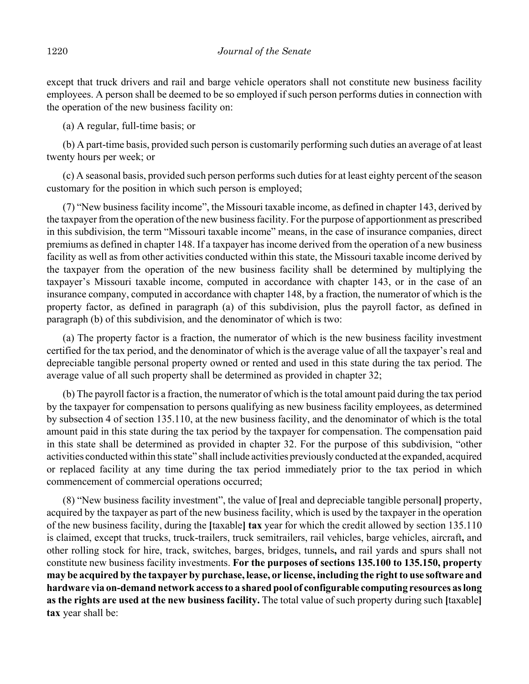except that truck drivers and rail and barge vehicle operators shall not constitute new business facility employees. A person shall be deemed to be so employed if such person performs duties in connection with the operation of the new business facility on:

(a) A regular, full-time basis; or

(b) A part-time basis, provided such person is customarily performing such duties an average of at least twenty hours per week; or

(c) A seasonal basis, provided such person performs such duties for at least eighty percent of the season customary for the position in which such person is employed;

(7) "New business facility income", the Missouri taxable income, as defined in chapter 143, derived by the taxpayer from the operation of the new business facility. For the purpose of apportionment as prescribed in this subdivision, the term "Missouri taxable income" means, in the case of insurance companies, direct premiums as defined in chapter 148. If a taxpayer has income derived from the operation of a new business facility as well as from other activities conducted within this state, the Missouri taxable income derived by the taxpayer from the operation of the new business facility shall be determined by multiplying the taxpayer's Missouri taxable income, computed in accordance with chapter 143, or in the case of an insurance company, computed in accordance with chapter 148, by a fraction, the numerator of which is the property factor, as defined in paragraph (a) of this subdivision, plus the payroll factor, as defined in paragraph (b) of this subdivision, and the denominator of which is two:

(a) The property factor is a fraction, the numerator of which is the new business facility investment certified for the tax period, and the denominator of which is the average value of all the taxpayer's real and depreciable tangible personal property owned or rented and used in this state during the tax period. The average value of all such property shall be determined as provided in chapter 32;

(b) The payroll factor is a fraction, the numerator of which is the total amount paid during the tax period by the taxpayer for compensation to persons qualifying as new business facility employees, as determined by subsection 4 of section 135.110, at the new business facility, and the denominator of which is the total amount paid in this state during the tax period by the taxpayer for compensation. The compensation paid in this state shall be determined as provided in chapter 32. For the purpose of this subdivision, "other activities conducted within this state" shall include activities previously conducted at the expanded, acquired or replaced facility at any time during the tax period immediately prior to the tax period in which commencement of commercial operations occurred;

(8) "New business facility investment", the value of **[**real and depreciable tangible personal**]** property, acquired by the taxpayer as part of the new business facility, which is used by the taxpayer in the operation of the new business facility, during the **[**taxable**] tax** year for which the credit allowed by section 135.110 is claimed, except that trucks, truck-trailers, truck semitrailers, rail vehicles, barge vehicles, aircraft**,** and other rolling stock for hire, track, switches, barges, bridges, tunnels**,** and rail yards and spurs shall not constitute new business facility investments. **For the purposes of sections 135.100 to 135.150, property may be acquired by the taxpayer by purchase, lease, or license, including the right to use software and hardware via on-demand network access to a shared pool of configurable computing resources as long as the rights are used at the new business facility.** The total value of such property during such **[**taxable**] tax** year shall be: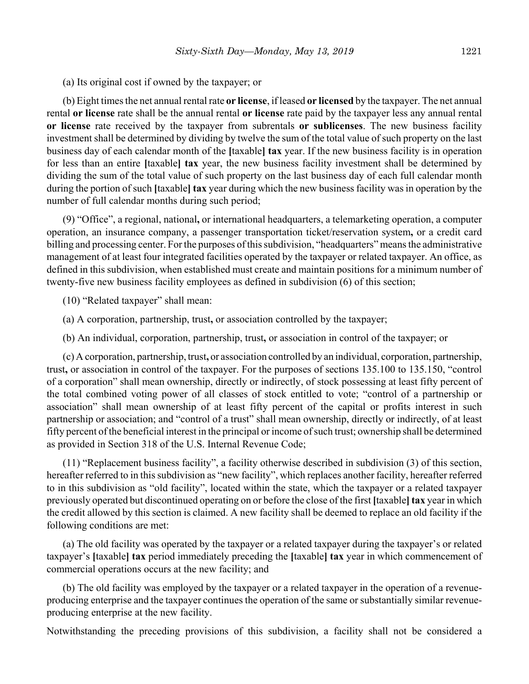(a) Its original cost if owned by the taxpayer; or

(b) Eight times the net annual rental rate **or license**, if leased **or licensed** by the taxpayer. The net annual rental **or license** rate shall be the annual rental **or license** rate paid by the taxpayer less any annual rental **or license** rate received by the taxpayer from subrentals **or sublicenses**. The new business facility investment shall be determined by dividing by twelve the sum of the total value of such property on the last business day of each calendar month of the **[**taxable**] tax** year. If the new business facility is in operation for less than an entire **[**taxable**] tax** year, the new business facility investment shall be determined by dividing the sum of the total value of such property on the last business day of each full calendar month during the portion of such **[**taxable**] tax** year during which the new business facility was in operation by the number of full calendar months during such period;

(9) "Office", a regional, national**,** or international headquarters, a telemarketing operation, a computer operation, an insurance company, a passenger transportation ticket/reservation system**,** or a credit card billing and processing center. For the purposes of this subdivision, "headquarters" means the administrative management of at least four integrated facilities operated by the taxpayer or related taxpayer. An office, as defined in this subdivision, when established must create and maintain positions for a minimum number of twenty-five new business facility employees as defined in subdivision (6) of this section;

(10) "Related taxpayer" shall mean:

- (a) A corporation, partnership, trust**,** or association controlled by the taxpayer;
- (b) An individual, corporation, partnership, trust**,** or association in control of the taxpayer; or

(c) A corporation, partnership, trust**,** or association controlled by an individual, corporation, partnership, trust**,** or association in control of the taxpayer. For the purposes of sections 135.100 to 135.150, "control of a corporation" shall mean ownership, directly or indirectly, of stock possessing at least fifty percent of the total combined voting power of all classes of stock entitled to vote; "control of a partnership or association" shall mean ownership of at least fifty percent of the capital or profits interest in such partnership or association; and "control of a trust" shall mean ownership, directly or indirectly, of at least fifty percent of the beneficial interest in the principal or income of such trust; ownership shall be determined as provided in Section 318 of the U.S. Internal Revenue Code;

(11) "Replacement business facility", a facility otherwise described in subdivision (3) of this section, hereafter referred to in this subdivision as "new facility", which replaces another facility, hereafter referred to in this subdivision as "old facility", located within the state, which the taxpayer or a related taxpayer previously operated but discontinued operating on or before the close of the first **[**taxable**] tax** year in which the credit allowed by this section is claimed. A new facility shall be deemed to replace an old facility if the following conditions are met:

(a) The old facility was operated by the taxpayer or a related taxpayer during the taxpayer's or related taxpayer's **[**taxable**] tax** period immediately preceding the **[**taxable**] tax** year in which commencement of commercial operations occurs at the new facility; and

(b) The old facility was employed by the taxpayer or a related taxpayer in the operation of a revenueproducing enterprise and the taxpayer continues the operation of the same or substantially similar revenueproducing enterprise at the new facility.

Notwithstanding the preceding provisions of this subdivision, a facility shall not be considered a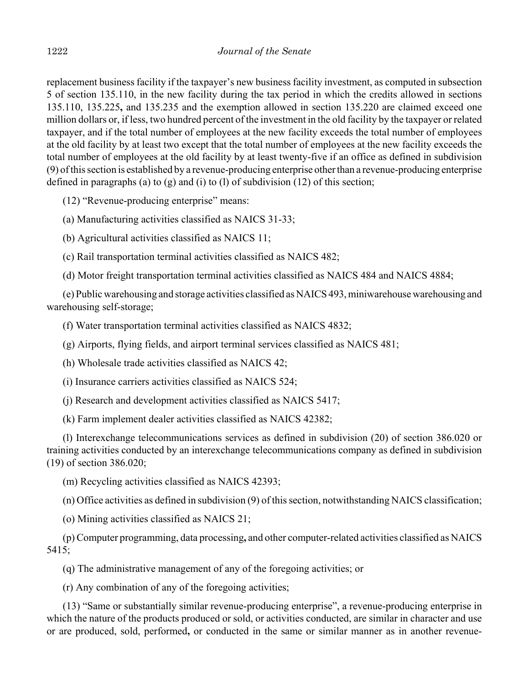replacement business facility if the taxpayer's new business facility investment, as computed in subsection 5 of section 135.110, in the new facility during the tax period in which the credits allowed in sections 135.110, 135.225**,** and 135.235 and the exemption allowed in section 135.220 are claimed exceed one million dollars or, if less, two hundred percent of the investment in the old facility by the taxpayer or related taxpayer, and if the total number of employees at the new facility exceeds the total number of employees at the old facility by at least two except that the total number of employees at the new facility exceeds the total number of employees at the old facility by at least twenty-five if an office as defined in subdivision (9) of this section is established by a revenue-producing enterprise other than a revenue-producing enterprise defined in paragraphs (a) to (g) and (i) to (l) of subdivision (12) of this section;

(12) "Revenue-producing enterprise" means:

(a) Manufacturing activities classified as NAICS 31-33;

(b) Agricultural activities classified as NAICS 11;

(c) Rail transportation terminal activities classified as NAICS 482;

(d) Motor freight transportation terminal activities classified as NAICS 484 and NAICS 4884;

(e) Public warehousing and storage activities classified as NAICS 493, miniwarehouse warehousing and warehousing self-storage;

(f) Water transportation terminal activities classified as NAICS 4832;

(g) Airports, flying fields, and airport terminal services classified as NAICS 481;

(h) Wholesale trade activities classified as NAICS 42;

(i) Insurance carriers activities classified as NAICS 524;

(j) Research and development activities classified as NAICS 5417;

(k) Farm implement dealer activities classified as NAICS 42382;

(l) Interexchange telecommunications services as defined in subdivision (20) of section 386.020 or training activities conducted by an interexchange telecommunications company as defined in subdivision (19) of section 386.020;

(m) Recycling activities classified as NAICS 42393;

(n) Office activities as defined in subdivision (9) of this section, notwithstanding NAICS classification;

(o) Mining activities classified as NAICS 21;

(p) Computer programming, data processing**,** and other computer-related activities classified as NAICS 5415;

(q) The administrative management of any of the foregoing activities; or

(r) Any combination of any of the foregoing activities;

(13) "Same or substantially similar revenue-producing enterprise", a revenue-producing enterprise in which the nature of the products produced or sold, or activities conducted, are similar in character and use or are produced, sold, performed**,** or conducted in the same or similar manner as in another revenue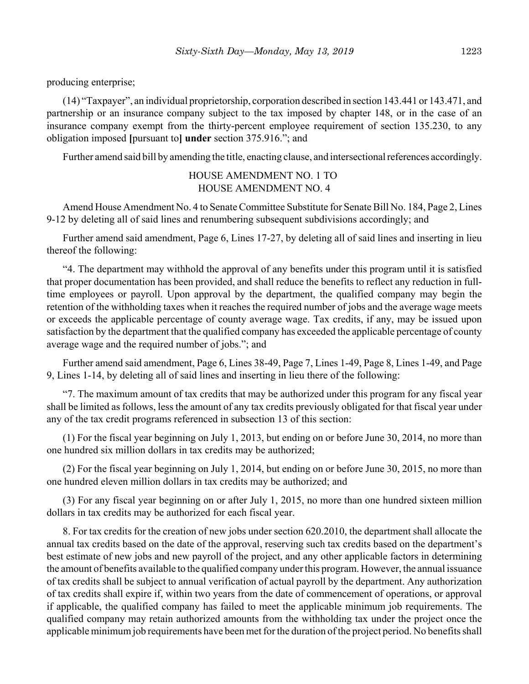producing enterprise;

(14) "Taxpayer", an individual proprietorship, corporation described in section 143.441 or 143.471, and partnership or an insurance company subject to the tax imposed by chapter 148, or in the case of an insurance company exempt from the thirty-percent employee requirement of section 135.230, to any obligation imposed **[**pursuant to**] under** section 375.916."; and

Further amend said bill by amending the title, enacting clause, and intersectional references accordingly.

HOUSE AMENDMENT NO. 1 TO HOUSE AMENDMENT NO. 4

Amend House Amendment No. 4 to Senate Committee Substitute for Senate Bill No. 184, Page 2, Lines 9-12 by deleting all of said lines and renumbering subsequent subdivisions accordingly; and

Further amend said amendment, Page 6, Lines 17-27, by deleting all of said lines and inserting in lieu thereof the following:

"4. The department may withhold the approval of any benefits under this program until it is satisfied that proper documentation has been provided, and shall reduce the benefits to reflect any reduction in fulltime employees or payroll. Upon approval by the department, the qualified company may begin the retention of the withholding taxes when it reaches the required number of jobs and the average wage meets or exceeds the applicable percentage of county average wage. Tax credits, if any, may be issued upon satisfaction by the department that the qualified company has exceeded the applicable percentage of county average wage and the required number of jobs."; and

Further amend said amendment, Page 6, Lines 38-49, Page 7, Lines 1-49, Page 8, Lines 1-49, and Page 9, Lines 1-14, by deleting all of said lines and inserting in lieu there of the following:

"7. The maximum amount of tax credits that may be authorized under this program for any fiscal year shall be limited as follows, less the amount of any tax credits previously obligated for that fiscal year under any of the tax credit programs referenced in subsection 13 of this section:

(1) For the fiscal year beginning on July 1, 2013, but ending on or before June 30, 2014, no more than one hundred six million dollars in tax credits may be authorized;

(2) For the fiscal year beginning on July 1, 2014, but ending on or before June 30, 2015, no more than one hundred eleven million dollars in tax credits may be authorized; and

(3) For any fiscal year beginning on or after July 1, 2015, no more than one hundred sixteen million dollars in tax credits may be authorized for each fiscal year.

8. For tax credits for the creation of new jobs under section 620.2010, the department shall allocate the annual tax credits based on the date of the approval, reserving such tax credits based on the department's best estimate of new jobs and new payroll of the project, and any other applicable factors in determining the amount of benefits available to the qualified company under this program. However, the annual issuance of tax credits shall be subject to annual verification of actual payroll by the department. Any authorization of tax credits shall expire if, within two years from the date of commencement of operations, or approval if applicable, the qualified company has failed to meet the applicable minimum job requirements. The qualified company may retain authorized amounts from the withholding tax under the project once the applicable minimum job requirements have been met for the duration of the project period. No benefits shall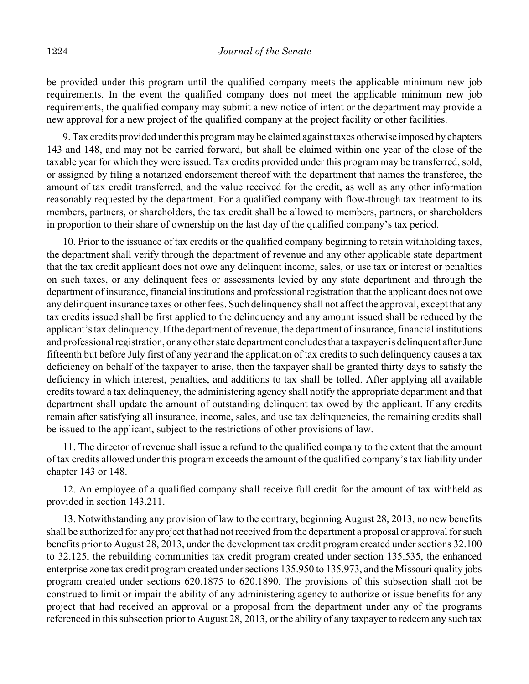be provided under this program until the qualified company meets the applicable minimum new job requirements. In the event the qualified company does not meet the applicable minimum new job requirements, the qualified company may submit a new notice of intent or the department may provide a new approval for a new project of the qualified company at the project facility or other facilities.

9. Tax credits provided under this program may be claimed against taxes otherwise imposed by chapters 143 and 148, and may not be carried forward, but shall be claimed within one year of the close of the taxable year for which they were issued. Tax credits provided under this program may be transferred, sold, or assigned by filing a notarized endorsement thereof with the department that names the transferee, the amount of tax credit transferred, and the value received for the credit, as well as any other information reasonably requested by the department. For a qualified company with flow-through tax treatment to its members, partners, or shareholders, the tax credit shall be allowed to members, partners, or shareholders in proportion to their share of ownership on the last day of the qualified company's tax period.

10. Prior to the issuance of tax credits or the qualified company beginning to retain withholding taxes, the department shall verify through the department of revenue and any other applicable state department that the tax credit applicant does not owe any delinquent income, sales, or use tax or interest or penalties on such taxes, or any delinquent fees or assessments levied by any state department and through the department of insurance, financial institutions and professional registration that the applicant does not owe any delinquent insurance taxes or other fees. Such delinquency shall not affect the approval, except that any tax credits issued shall be first applied to the delinquency and any amount issued shall be reduced by the applicant's tax delinquency. If the department of revenue, the department of insurance, financial institutions and professional registration, or any other state department concludes that a taxpayer is delinquent after June fifteenth but before July first of any year and the application of tax credits to such delinquency causes a tax deficiency on behalf of the taxpayer to arise, then the taxpayer shall be granted thirty days to satisfy the deficiency in which interest, penalties, and additions to tax shall be tolled. After applying all available credits toward a tax delinquency, the administering agency shall notify the appropriate department and that department shall update the amount of outstanding delinquent tax owed by the applicant. If any credits remain after satisfying all insurance, income, sales, and use tax delinquencies, the remaining credits shall be issued to the applicant, subject to the restrictions of other provisions of law.

11. The director of revenue shall issue a refund to the qualified company to the extent that the amount of tax credits allowed under this program exceeds the amount of the qualified company's tax liability under chapter 143 or 148.

12. An employee of a qualified company shall receive full credit for the amount of tax withheld as provided in section 143.211.

13. Notwithstanding any provision of law to the contrary, beginning August 28, 2013, no new benefits shall be authorized for any project that had not received from the department a proposal or approval for such benefits prior to August 28, 2013, under the development tax credit program created under sections 32.100 to 32.125, the rebuilding communities tax credit program created under section 135.535, the enhanced enterprise zone tax credit program created under sections 135.950 to 135.973, and the Missouri quality jobs program created under sections 620.1875 to 620.1890. The provisions of this subsection shall not be construed to limit or impair the ability of any administering agency to authorize or issue benefits for any project that had received an approval or a proposal from the department under any of the programs referenced in this subsection prior to August 28, 2013, or the ability of any taxpayer to redeem any such tax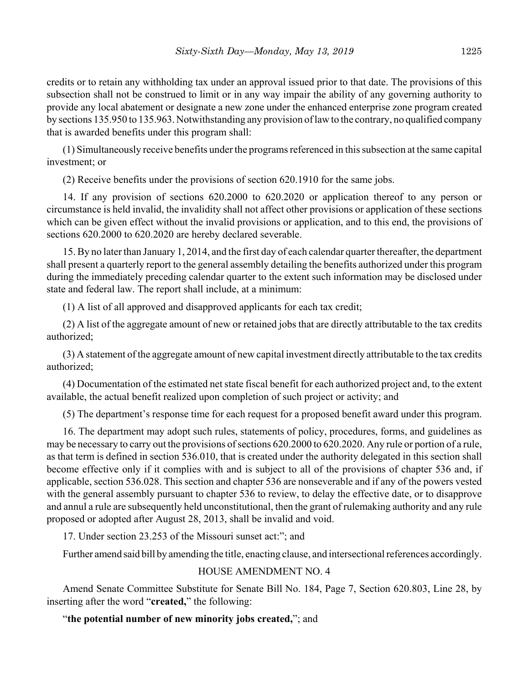credits or to retain any withholding tax under an approval issued prior to that date. The provisions of this subsection shall not be construed to limit or in any way impair the ability of any governing authority to provide any local abatement or designate a new zone under the enhanced enterprise zone program created by sections 135.950 to 135.963. Notwithstanding any provision of law to the contrary, no qualified company that is awarded benefits under this program shall:

(1) Simultaneously receive benefits under the programs referenced in this subsection at the same capital investment; or

(2) Receive benefits under the provisions of section 620.1910 for the same jobs.

14. If any provision of sections 620.2000 to 620.2020 or application thereof to any person or circumstance is held invalid, the invalidity shall not affect other provisions or application of these sections which can be given effect without the invalid provisions or application, and to this end, the provisions of sections 620.2000 to 620.2020 are hereby declared severable.

15. By no later than January 1, 2014, and the first day of each calendar quarter thereafter, the department shall present a quarterly report to the general assembly detailing the benefits authorized under this program during the immediately preceding calendar quarter to the extent such information may be disclosed under state and federal law. The report shall include, at a minimum:

(1) A list of all approved and disapproved applicants for each tax credit;

(2) A list of the aggregate amount of new or retained jobs that are directly attributable to the tax credits authorized;

(3) A statement of the aggregate amount of new capital investment directly attributable to the tax credits authorized;

(4) Documentation of the estimated net state fiscal benefit for each authorized project and, to the extent available, the actual benefit realized upon completion of such project or activity; and

(5) The department's response time for each request for a proposed benefit award under this program.

16. The department may adopt such rules, statements of policy, procedures, forms, and guidelines as may be necessary to carry out the provisions of sections 620.2000 to 620.2020. Any rule or portion of a rule, as that term is defined in section 536.010, that is created under the authority delegated in this section shall become effective only if it complies with and is subject to all of the provisions of chapter 536 and, if applicable, section 536.028. This section and chapter 536 are nonseverable and if any of the powers vested with the general assembly pursuant to chapter 536 to review, to delay the effective date, or to disapprove and annul a rule are subsequently held unconstitutional, then the grant of rulemaking authority and any rule proposed or adopted after August 28, 2013, shall be invalid and void.

17. Under section 23.253 of the Missouri sunset act:"; and

Further amend said bill by amending the title, enacting clause, and intersectional references accordingly.

# HOUSE AMENDMENT NO. 4

Amend Senate Committee Substitute for Senate Bill No. 184, Page 7, Section 620.803, Line 28, by inserting after the word "**created,**" the following:

# "**the potential number of new minority jobs created,**"; and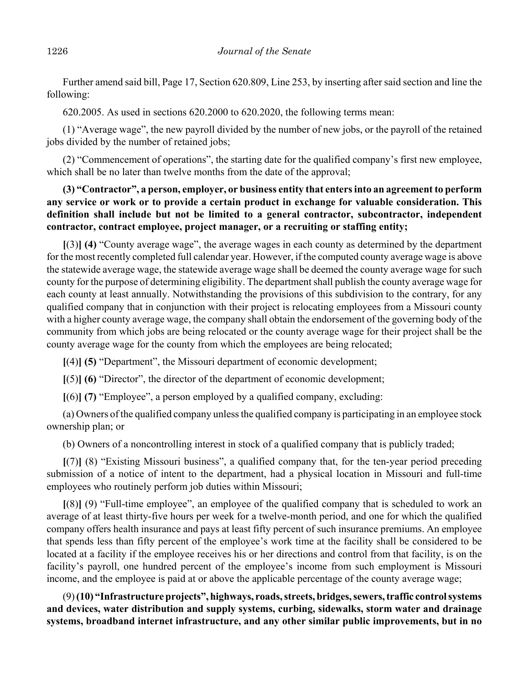Further amend said bill, Page 17, Section 620.809, Line 253, by inserting after said section and line the following:

620.2005. As used in sections 620.2000 to 620.2020, the following terms mean:

(1) "Average wage", the new payroll divided by the number of new jobs, or the payroll of the retained jobs divided by the number of retained jobs;

(2) "Commencement of operations", the starting date for the qualified company's first new employee, which shall be no later than twelve months from the date of the approval;

# **(3) "Contractor", a person, employer, or business entity that enters into an agreement to perform any service or work or to provide a certain product in exchange for valuable consideration. This definition shall include but not be limited to a general contractor, subcontractor, independent contractor, contract employee, project manager, or a recruiting or staffing entity;**

**[**(3)**] (4)** "County average wage", the average wages in each county as determined by the department for the most recently completed full calendar year. However, if the computed county average wage is above the statewide average wage, the statewide average wage shall be deemed the county average wage for such county for the purpose of determining eligibility. The department shall publish the county average wage for each county at least annually. Notwithstanding the provisions of this subdivision to the contrary, for any qualified company that in conjunction with their project is relocating employees from a Missouri county with a higher county average wage, the company shall obtain the endorsement of the governing body of the community from which jobs are being relocated or the county average wage for their project shall be the county average wage for the county from which the employees are being relocated;

**[**(4)**] (5)** "Department", the Missouri department of economic development;

**[**(5)**] (6)** "Director", the director of the department of economic development;

**[**(6)**] (7)** "Employee", a person employed by a qualified company, excluding:

(a) Owners of the qualified company unless the qualified company is participating in an employee stock ownership plan; or

(b) Owners of a noncontrolling interest in stock of a qualified company that is publicly traded;

**[**(7)**]** (8) "Existing Missouri business", a qualified company that, for the ten-year period preceding submission of a notice of intent to the department, had a physical location in Missouri and full-time employees who routinely perform job duties within Missouri;

**[**(8)**]** (9) "Full-time employee", an employee of the qualified company that is scheduled to work an average of at least thirty-five hours per week for a twelve-month period, and one for which the qualified company offers health insurance and pays at least fifty percent of such insurance premiums. An employee that spends less than fifty percent of the employee's work time at the facility shall be considered to be located at a facility if the employee receives his or her directions and control from that facility, is on the facility's payroll, one hundred percent of the employee's income from such employment is Missouri income, and the employee is paid at or above the applicable percentage of the county average wage;

(9) **(10) "Infrastructure projects", highways, roads, streets, bridges, sewers, traffic control systems and devices, water distribution and supply systems, curbing, sidewalks, storm water and drainage systems, broadband internet infrastructure, and any other similar public improvements, but in no**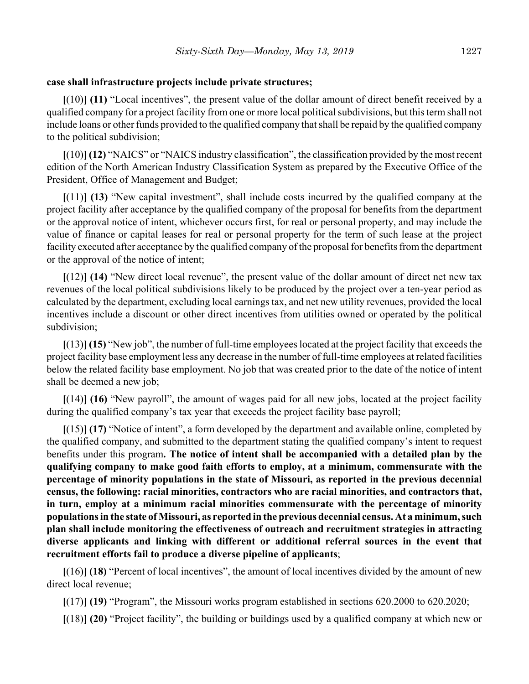#### **case shall infrastructure projects include private structures;**

**[**(10)**] (11)** "Local incentives", the present value of the dollar amount of direct benefit received by a qualified company for a project facility from one or more local political subdivisions, but this term shall not include loans or other funds provided to the qualified company that shall be repaid by the qualified company to the political subdivision;

**[**(10)**] (12)** "NAICS" or "NAICS industry classification", the classification provided by the most recent edition of the North American Industry Classification System as prepared by the Executive Office of the President, Office of Management and Budget;

**[**(11)**] (13)** "New capital investment", shall include costs incurred by the qualified company at the project facility after acceptance by the qualified company of the proposal for benefits from the department or the approval notice of intent, whichever occurs first, for real or personal property, and may include the value of finance or capital leases for real or personal property for the term of such lease at the project facility executed after acceptance by the qualified company of the proposal for benefits from the department or the approval of the notice of intent;

**[**(12)**] (14)** "New direct local revenue", the present value of the dollar amount of direct net new tax revenues of the local political subdivisions likely to be produced by the project over a ten-year period as calculated by the department, excluding local earnings tax, and net new utility revenues, provided the local incentives include a discount or other direct incentives from utilities owned or operated by the political subdivision;

**[**(13)**] (15)** "New job", the number of full-time employees located at the project facility that exceeds the project facility base employment less any decrease in the number of full-time employees at related facilities below the related facility base employment. No job that was created prior to the date of the notice of intent shall be deemed a new job;

**[**(14)**] (16)** "New payroll", the amount of wages paid for all new jobs, located at the project facility during the qualified company's tax year that exceeds the project facility base payroll;

**[**(15)**] (17)** "Notice of intent", a form developed by the department and available online, completed by the qualified company, and submitted to the department stating the qualified company's intent to request benefits under this program**. The notice of intent shall be accompanied with a detailed plan by the qualifying company to make good faith efforts to employ, at a minimum, commensurate with the percentage of minority populations in the state of Missouri, as reported in the previous decennial census, the following: racial minorities, contractors who are racial minorities, and contractors that, in turn, employ at a minimum racial minorities commensurate with the percentage of minority populations in the state of Missouri, as reported in the previous decennial census. At a minimum, such plan shall include monitoring the effectiveness of outreach and recruitment strategies in attracting diverse applicants and linking with different or additional referral sources in the event that recruitment efforts fail to produce a diverse pipeline of applicants**;

**[**(16)**] (18)** "Percent of local incentives", the amount of local incentives divided by the amount of new direct local revenue;

**[**(17)**] (19)** "Program", the Missouri works program established in sections 620.2000 to 620.2020;

**[**(18)**] (20)** "Project facility", the building or buildings used by a qualified company at which new or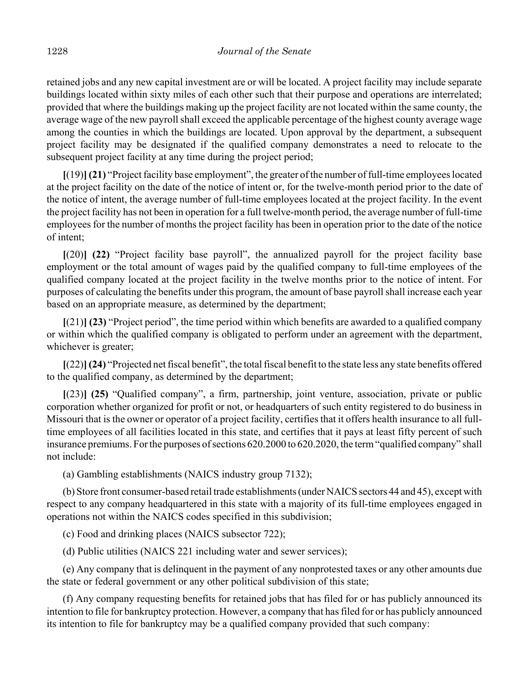retained jobs and any new capital investment are or will be located. A project facility may include separate buildings located within sixty miles of each other such that their purpose and operations are interrelated; provided that where the buildings making up the project facility are not located within the same county, the average wage of the new payroll shall exceed the applicable percentage of the highest county average wage among the counties in which the buildings are located. Upon approval by the department, a subsequent project facility may be designated if the qualified company demonstrates a need to relocate to the subsequent project facility at any time during the project period;

**[**(19)**](21)** "Project facility base employment", the greater of the number of full-time employees located at the project facility on the date of the notice of intent or, for the twelve-month period prior to the date of the notice of intent, the average number of full-time employees located at the project facility. In the event the project facility has not been in operation for a full twelve-month period, the average number of full-time employees for the number of months the project facility has been in operation prior to the date of the notice of intent;

**[**(20)**] (22)** "Project facility base payroll", the annualized payroll for the project facility base employment or the total amount of wages paid by the qualified company to full-time employees of the qualified company located at the project facility in the twelve months prior to the notice of intent. For purposes of calculating the benefits under this program, the amount of base payroll shall increase each year based on an appropriate measure, as determined by the department;

**[**(21)**] (23)** "Project period", the time period within which benefits are awarded to a qualified company or within which the qualified company is obligated to perform under an agreement with the department, whichever is greater;

**[**(22)**](24)** "Projected net fiscal benefit", the total fiscal benefit to the state less any state benefits offered to the qualified company, as determined by the department;

**[**(23)**] (25)** "Qualified company", a firm, partnership, joint venture, association, private or public corporation whether organized for profit or not, or headquarters of such entity registered to do business in Missouri that is the owner or operator of a project facility, certifies that it offers health insurance to all fulltime employees of all facilities located in this state, and certifies that it pays at least fifty percent of such insurance premiums. For the purposes of sections 620.2000 to 620.2020, the term "qualified company" shall not include:

(a) Gambling establishments (NAICS industry group 7132);

(b) Store front consumer-based retail trade establishments (under NAICS sectors 44 and 45), except with respect to any company headquartered in this state with a majority of its full-time employees engaged in operations not within the NAICS codes specified in this subdivision;

(c) Food and drinking places (NAICS subsector 722);

(d) Public utilities (NAICS 221 including water and sewer services);

(e) Any company that is delinquent in the payment of any nonprotested taxes or any other amounts due the state or federal government or any other political subdivision of this state;

(f) Any company requesting benefits for retained jobs that has filed for or has publicly announced its intention to file for bankruptcy protection. However, a company that has filed for or has publicly announced its intention to file for bankruptcy may be a qualified company provided that such company: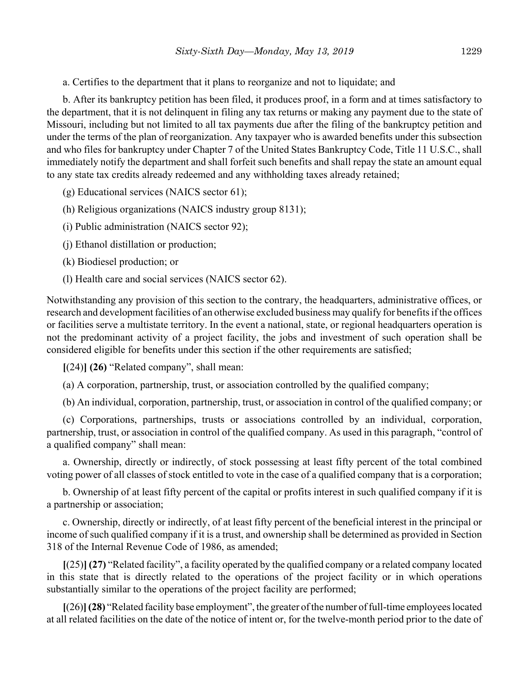a. Certifies to the department that it plans to reorganize and not to liquidate; and

b. After its bankruptcy petition has been filed, it produces proof, in a form and at times satisfactory to the department, that it is not delinquent in filing any tax returns or making any payment due to the state of Missouri, including but not limited to all tax payments due after the filing of the bankruptcy petition and under the terms of the plan of reorganization. Any taxpayer who is awarded benefits under this subsection and who files for bankruptcy under Chapter 7 of the United States Bankruptcy Code, Title 11 U.S.C., shall immediately notify the department and shall forfeit such benefits and shall repay the state an amount equal to any state tax credits already redeemed and any withholding taxes already retained;

(g) Educational services (NAICS sector 61);

(h) Religious organizations (NAICS industry group 8131);

(i) Public administration (NAICS sector 92);

(j) Ethanol distillation or production;

(k) Biodiesel production; or

(l) Health care and social services (NAICS sector 62).

Notwithstanding any provision of this section to the contrary, the headquarters, administrative offices, or research and development facilities of an otherwise excluded business may qualify for benefits if the offices or facilities serve a multistate territory. In the event a national, state, or regional headquarters operation is not the predominant activity of a project facility, the jobs and investment of such operation shall be considered eligible for benefits under this section if the other requirements are satisfied;

**[**(24)**] (26)** "Related company", shall mean:

(a) A corporation, partnership, trust, or association controlled by the qualified company;

(b) An individual, corporation, partnership, trust, or association in control of the qualified company; or

(c) Corporations, partnerships, trusts or associations controlled by an individual, corporation, partnership, trust, or association in control of the qualified company. As used in this paragraph, "control of a qualified company" shall mean:

a. Ownership, directly or indirectly, of stock possessing at least fifty percent of the total combined voting power of all classes of stock entitled to vote in the case of a qualified company that is a corporation;

b. Ownership of at least fifty percent of the capital or profits interest in such qualified company if it is a partnership or association;

c. Ownership, directly or indirectly, of at least fifty percent of the beneficial interest in the principal or income of such qualified company if it is a trust, and ownership shall be determined as provided in Section 318 of the Internal Revenue Code of 1986, as amended;

**[**(25)**] (27)** "Related facility", a facility operated by the qualified company or a related company located in this state that is directly related to the operations of the project facility or in which operations substantially similar to the operations of the project facility are performed;

**[**(26)**](28)** "Related facility base employment", the greater of the number of full-time employees located at all related facilities on the date of the notice of intent or, for the twelve-month period prior to the date of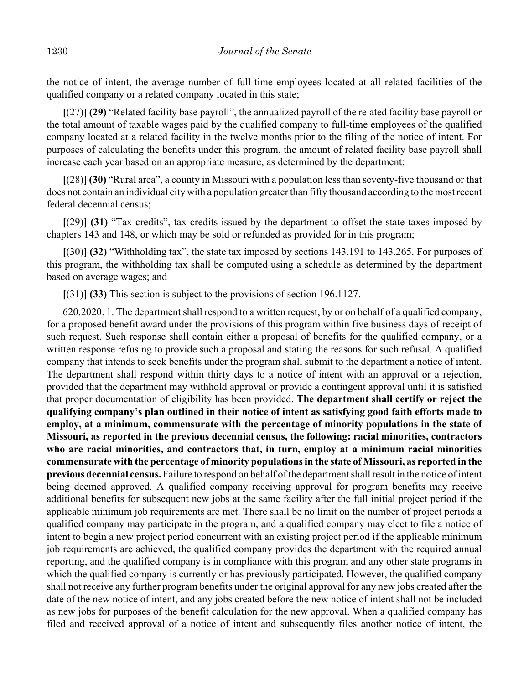the notice of intent, the average number of full-time employees located at all related facilities of the qualified company or a related company located in this state;

**[**(27)**] (29)** "Related facility base payroll", the annualized payroll of the related facility base payroll or the total amount of taxable wages paid by the qualified company to full-time employees of the qualified company located at a related facility in the twelve months prior to the filing of the notice of intent. For purposes of calculating the benefits under this program, the amount of related facility base payroll shall increase each year based on an appropriate measure, as determined by the department;

**[**(28)**] (30)** "Rural area", a county in Missouri with a population less than seventy-five thousand or that does not contain an individual city with a population greater than fifty thousand according to the most recent federal decennial census;

**[**(29)**] (31)** "Tax credits", tax credits issued by the department to offset the state taxes imposed by chapters 143 and 148, or which may be sold or refunded as provided for in this program;

**[**(30)**] (32)** "Withholding tax", the state tax imposed by sections 143.191 to 143.265. For purposes of this program, the withholding tax shall be computed using a schedule as determined by the department based on average wages; and

**[**(31)**] (33)** This section is subject to the provisions of section 196.1127.

620.2020. 1. The department shall respond to a written request, by or on behalf of a qualified company, for a proposed benefit award under the provisions of this program within five business days of receipt of such request. Such response shall contain either a proposal of benefits for the qualified company, or a written response refusing to provide such a proposal and stating the reasons for such refusal. A qualified company that intends to seek benefits under the program shall submit to the department a notice of intent. The department shall respond within thirty days to a notice of intent with an approval or a rejection, provided that the department may withhold approval or provide a contingent approval until it is satisfied that proper documentation of eligibility has been provided. **The department shall certify or reject the qualifying company's plan outlined in their notice of intent as satisfying good faith efforts made to employ, at a minimum, commensurate with the percentage of minority populations in the state of Missouri, as reported in the previous decennial census, the following: racial minorities, contractors who are racial minorities, and contractors that, in turn, employ at a minimum racial minorities commensurate with the percentage of minority populations in the state of Missouri, as reported in the previous decennial census.** Failure to respond on behalf of the department shall result in the notice of intent being deemed approved. A qualified company receiving approval for program benefits may receive additional benefits for subsequent new jobs at the same facility after the full initial project period if the applicable minimum job requirements are met. There shall be no limit on the number of project periods a qualified company may participate in the program, and a qualified company may elect to file a notice of intent to begin a new project period concurrent with an existing project period if the applicable minimum job requirements are achieved, the qualified company provides the department with the required annual reporting, and the qualified company is in compliance with this program and any other state programs in which the qualified company is currently or has previously participated. However, the qualified company shall not receive any further program benefits under the original approval for any new jobs created after the date of the new notice of intent, and any jobs created before the new notice of intent shall not be included as new jobs for purposes of the benefit calculation for the new approval. When a qualified company has filed and received approval of a notice of intent and subsequently files another notice of intent, the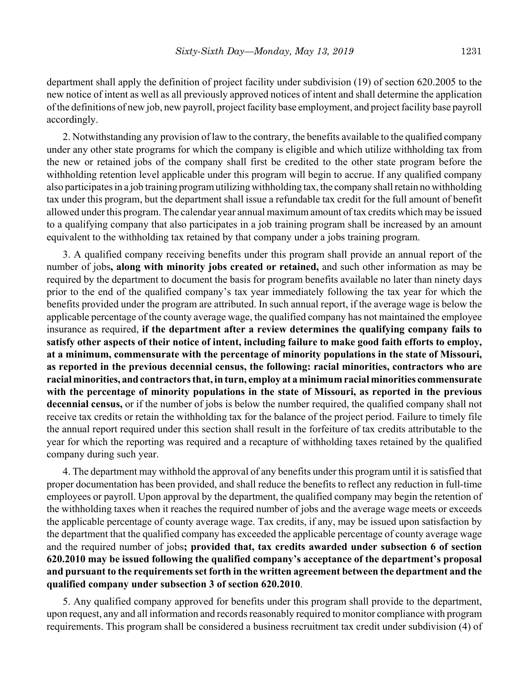department shall apply the definition of project facility under subdivision (19) of section 620.2005 to the new notice of intent as well as all previously approved notices of intent and shall determine the application of the definitions of new job, new payroll, project facility base employment, and project facility base payroll accordingly.

2. Notwithstanding any provision of law to the contrary, the benefits available to the qualified company under any other state programs for which the company is eligible and which utilize withholding tax from the new or retained jobs of the company shall first be credited to the other state program before the withholding retention level applicable under this program will begin to accrue. If any qualified company also participates in a job training program utilizing withholding tax, the company shall retain no withholding tax under this program, but the department shall issue a refundable tax credit for the full amount of benefit allowed under this program. The calendar year annual maximum amount of tax credits which may be issued to a qualifying company that also participates in a job training program shall be increased by an amount equivalent to the withholding tax retained by that company under a jobs training program.

3. A qualified company receiving benefits under this program shall provide an annual report of the number of jobs**, along with minority jobs created or retained,** and such other information as may be required by the department to document the basis for program benefits available no later than ninety days prior to the end of the qualified company's tax year immediately following the tax year for which the benefits provided under the program are attributed. In such annual report, if the average wage is below the applicable percentage of the county average wage, the qualified company has not maintained the employee insurance as required, **if the department after a review determines the qualifying company fails to satisfy other aspects of their notice of intent, including failure to make good faith efforts to employ, at a minimum, commensurate with the percentage of minority populations in the state of Missouri, as reported in the previous decennial census, the following: racial minorities, contractors who are racial minorities, and contractors that, in turn, employ at a minimum racial minorities commensurate with the percentage of minority populations in the state of Missouri, as reported in the previous decennial census,** or if the number of jobs is below the number required, the qualified company shall not receive tax credits or retain the withholding tax for the balance of the project period. Failure to timely file the annual report required under this section shall result in the forfeiture of tax credits attributable to the year for which the reporting was required and a recapture of withholding taxes retained by the qualified company during such year.

4. The department may withhold the approval of any benefits under this program until it is satisfied that proper documentation has been provided, and shall reduce the benefits to reflect any reduction in full-time employees or payroll. Upon approval by the department, the qualified company may begin the retention of the withholding taxes when it reaches the required number of jobs and the average wage meets or exceeds the applicable percentage of county average wage. Tax credits, if any, may be issued upon satisfaction by the department that the qualified company has exceeded the applicable percentage of county average wage and the required number of jobs**; provided that, tax credits awarded under subsection 6 of section 620.2010 may be issued following the qualified company's acceptance of the department's proposal and pursuant to the requirements set forth in the written agreement between the department and the qualified company under subsection 3 of section 620.2010**.

5. Any qualified company approved for benefits under this program shall provide to the department, upon request, any and all information and records reasonably required to monitor compliance with program requirements. This program shall be considered a business recruitment tax credit under subdivision (4) of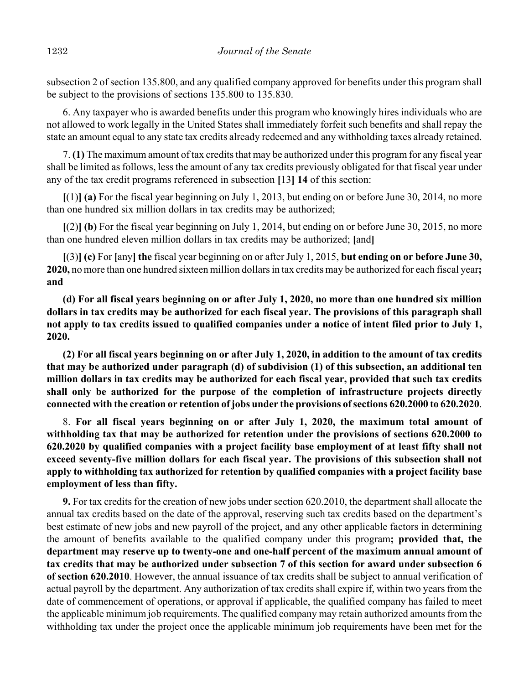subsection 2 of section 135.800, and any qualified company approved for benefits under this program shall be subject to the provisions of sections 135.800 to 135.830.

6. Any taxpayer who is awarded benefits under this program who knowingly hires individuals who are not allowed to work legally in the United States shall immediately forfeit such benefits and shall repay the state an amount equal to any state tax credits already redeemed and any withholding taxes already retained.

7. **(1)** The maximum amount of tax credits that may be authorized under this program for any fiscal year shall be limited as follows, less the amount of any tax credits previously obligated for that fiscal year under any of the tax credit programs referenced in subsection **[**13**] 14** of this section:

**[**(1)**] (a)** For the fiscal year beginning on July 1, 2013, but ending on or before June 30, 2014, no more than one hundred six million dollars in tax credits may be authorized;

**[**(2)**] (b)** For the fiscal year beginning on July 1, 2014, but ending on or before June 30, 2015, no more than one hundred eleven million dollars in tax credits may be authorized; **[**and**]**

**[**(3)**] (c)** For **[**any**] the** fiscal year beginning on or after July 1, 2015, **but ending on or before June 30, 2020,** no more than one hundred sixteen million dollars in tax credits may be authorized for each fiscal year**; and**

**(d) For all fiscal years beginning on or after July 1, 2020, no more than one hundred six million dollars in tax credits may be authorized for each fiscal year. The provisions of this paragraph shall not apply to tax credits issued to qualified companies under a notice of intent filed prior to July 1, 2020.**

**(2) For all fiscal years beginning on or after July 1, 2020, in addition to the amount of tax credits that may be authorized under paragraph (d) of subdivision (1) of this subsection, an additional ten million dollars in tax credits may be authorized for each fiscal year, provided that such tax credits shall only be authorized for the purpose of the completion of infrastructure projects directly connected with the creation or retention of jobs under the provisions of sections 620.2000 to 620.2020**.

8. **For all fiscal years beginning on or after July 1, 2020, the maximum total amount of withholding tax that may be authorized for retention under the provisions of sections 620.2000 to 620.2020 by qualified companies with a project facility base employment of at least fifty shall not exceed seventy-five million dollars for each fiscal year. The provisions of this subsection shall not apply to withholding tax authorized for retention by qualified companies with a project facility base employment of less than fifty.**

**9.** For tax credits for the creation of new jobs under section 620.2010, the department shall allocate the annual tax credits based on the date of the approval, reserving such tax credits based on the department's best estimate of new jobs and new payroll of the project, and any other applicable factors in determining the amount of benefits available to the qualified company under this program**; provided that, the department may reserve up to twenty-one and one-half percent of the maximum annual amount of tax credits that may be authorized under subsection 7 of this section for award under subsection 6 of section 620.2010**. However, the annual issuance of tax credits shall be subject to annual verification of actual payroll by the department. Any authorization of tax credits shall expire if, within two years from the date of commencement of operations, or approval if applicable, the qualified company has failed to meet the applicable minimum job requirements. The qualified company may retain authorized amounts from the withholding tax under the project once the applicable minimum job requirements have been met for the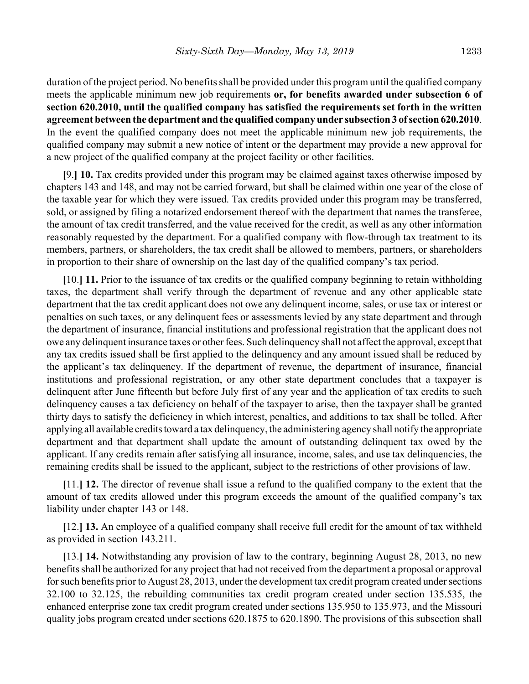duration of the project period. No benefits shall be provided under this program until the qualified company meets the applicable minimum new job requirements **or, for benefits awarded under subsection 6 of section 620.2010, until the qualified company has satisfied the requirements set forth in the written agreement between the department and the qualified company under subsection 3 of section 620.2010**. In the event the qualified company does not meet the applicable minimum new job requirements, the qualified company may submit a new notice of intent or the department may provide a new approval for a new project of the qualified company at the project facility or other facilities.

**[**9.**] 10.** Tax credits provided under this program may be claimed against taxes otherwise imposed by chapters 143 and 148, and may not be carried forward, but shall be claimed within one year of the close of the taxable year for which they were issued. Tax credits provided under this program may be transferred, sold, or assigned by filing a notarized endorsement thereof with the department that names the transferee, the amount of tax credit transferred, and the value received for the credit, as well as any other information reasonably requested by the department. For a qualified company with flow-through tax treatment to its members, partners, or shareholders, the tax credit shall be allowed to members, partners, or shareholders in proportion to their share of ownership on the last day of the qualified company's tax period.

**[**10.**] 11.** Prior to the issuance of tax credits or the qualified company beginning to retain withholding taxes, the department shall verify through the department of revenue and any other applicable state department that the tax credit applicant does not owe any delinquent income, sales, or use tax or interest or penalties on such taxes, or any delinquent fees or assessments levied by any state department and through the department of insurance, financial institutions and professional registration that the applicant does not owe any delinquent insurance taxes or other fees. Such delinquency shall not affect the approval, except that any tax credits issued shall be first applied to the delinquency and any amount issued shall be reduced by the applicant's tax delinquency. If the department of revenue, the department of insurance, financial institutions and professional registration, or any other state department concludes that a taxpayer is delinquent after June fifteenth but before July first of any year and the application of tax credits to such delinquency causes a tax deficiency on behalf of the taxpayer to arise, then the taxpayer shall be granted thirty days to satisfy the deficiency in which interest, penalties, and additions to tax shall be tolled. After applying all available credits toward a tax delinquency, the administering agency shall notify the appropriate department and that department shall update the amount of outstanding delinquent tax owed by the applicant. If any credits remain after satisfying all insurance, income, sales, and use tax delinquencies, the remaining credits shall be issued to the applicant, subject to the restrictions of other provisions of law.

**[**11.**] 12.** The director of revenue shall issue a refund to the qualified company to the extent that the amount of tax credits allowed under this program exceeds the amount of the qualified company's tax liability under chapter 143 or 148.

**[**12.**] 13.** An employee of a qualified company shall receive full credit for the amount of tax withheld as provided in section 143.211.

**[**13.**] 14.** Notwithstanding any provision of law to the contrary, beginning August 28, 2013, no new benefits shall be authorized for any project that had not received from the department a proposal or approval for such benefits prior to August 28, 2013, under the development tax credit program created under sections 32.100 to 32.125, the rebuilding communities tax credit program created under section 135.535, the enhanced enterprise zone tax credit program created under sections 135.950 to 135.973, and the Missouri quality jobs program created under sections 620.1875 to 620.1890. The provisions of this subsection shall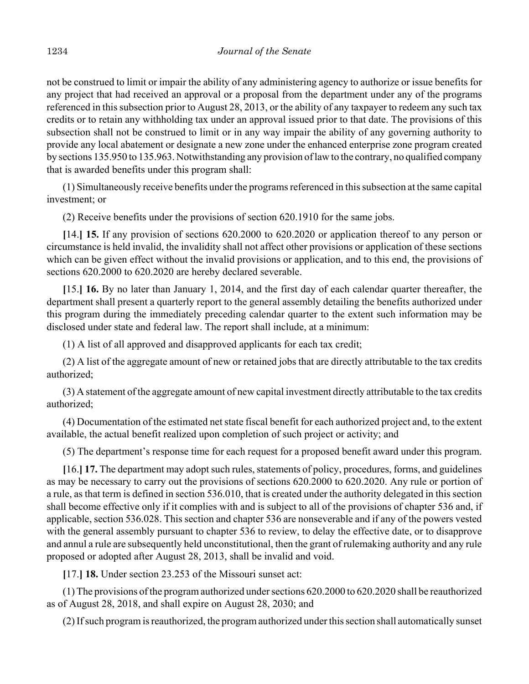not be construed to limit or impair the ability of any administering agency to authorize or issue benefits for any project that had received an approval or a proposal from the department under any of the programs referenced in this subsection prior to August 28, 2013, or the ability of any taxpayer to redeem any such tax credits or to retain any withholding tax under an approval issued prior to that date. The provisions of this subsection shall not be construed to limit or in any way impair the ability of any governing authority to provide any local abatement or designate a new zone under the enhanced enterprise zone program created by sections 135.950 to 135.963. Notwithstanding any provision of law to the contrary, no qualified company that is awarded benefits under this program shall:

(1) Simultaneously receive benefits under the programs referenced in this subsection at the same capital investment; or

(2) Receive benefits under the provisions of section 620.1910 for the same jobs.

**[**14.**] 15.** If any provision of sections 620.2000 to 620.2020 or application thereof to any person or circumstance is held invalid, the invalidity shall not affect other provisions or application of these sections which can be given effect without the invalid provisions or application, and to this end, the provisions of sections 620.2000 to 620.2020 are hereby declared severable.

**[**15.**] 16.** By no later than January 1, 2014, and the first day of each calendar quarter thereafter, the department shall present a quarterly report to the general assembly detailing the benefits authorized under this program during the immediately preceding calendar quarter to the extent such information may be disclosed under state and federal law. The report shall include, at a minimum:

(1) A list of all approved and disapproved applicants for each tax credit;

(2) A list of the aggregate amount of new or retained jobs that are directly attributable to the tax credits authorized;

(3) A statement of the aggregate amount of new capital investment directly attributable to the tax credits authorized;

(4) Documentation of the estimated net state fiscal benefit for each authorized project and, to the extent available, the actual benefit realized upon completion of such project or activity; and

(5) The department's response time for each request for a proposed benefit award under this program.

**[**16.**] 17.** The department may adopt such rules, statements of policy, procedures, forms, and guidelines as may be necessary to carry out the provisions of sections 620.2000 to 620.2020. Any rule or portion of a rule, as that term is defined in section 536.010, that is created under the authority delegated in this section shall become effective only if it complies with and is subject to all of the provisions of chapter 536 and, if applicable, section 536.028. This section and chapter 536 are nonseverable and if any of the powers vested with the general assembly pursuant to chapter 536 to review, to delay the effective date, or to disapprove and annul a rule are subsequently held unconstitutional, then the grant of rulemaking authority and any rule proposed or adopted after August 28, 2013, shall be invalid and void.

**[**17.**] 18.** Under section 23.253 of the Missouri sunset act:

(1) The provisions of the program authorized under sections 620.2000 to 620.2020 shall be reauthorized as of August 28, 2018, and shall expire on August 28, 2030; and

(2) If such program is reauthorized, the program authorized under this section shall automatically sunset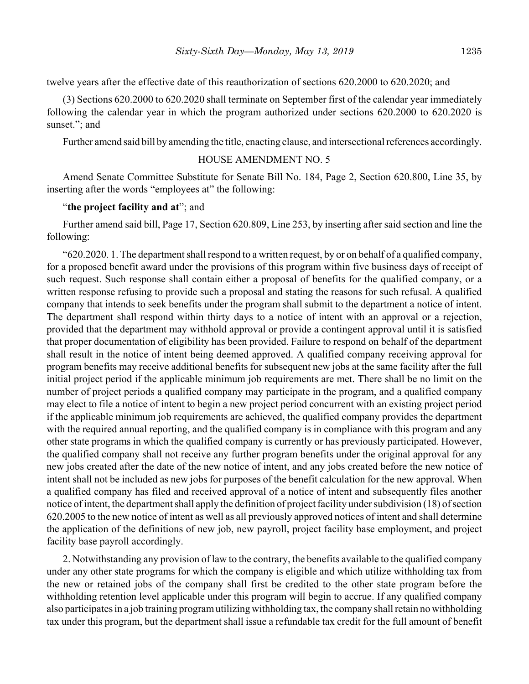twelve years after the effective date of this reauthorization of sections 620.2000 to 620.2020; and

(3) Sections 620.2000 to 620.2020 shall terminate on September first of the calendar year immediately following the calendar year in which the program authorized under sections 620.2000 to 620.2020 is sunset."; and

Further amend said bill by amending the title, enacting clause, and intersectional references accordingly.

# HOUSE AMENDMENT NO. 5

Amend Senate Committee Substitute for Senate Bill No. 184, Page 2, Section 620.800, Line 35, by inserting after the words "employees at" the following:

#### "**the project facility and at**"; and

Further amend said bill, Page 17, Section 620.809, Line 253, by inserting after said section and line the following:

"620.2020. 1. The department shall respond to a written request, by or on behalf of a qualified company, for a proposed benefit award under the provisions of this program within five business days of receipt of such request. Such response shall contain either a proposal of benefits for the qualified company, or a written response refusing to provide such a proposal and stating the reasons for such refusal. A qualified company that intends to seek benefits under the program shall submit to the department a notice of intent. The department shall respond within thirty days to a notice of intent with an approval or a rejection, provided that the department may withhold approval or provide a contingent approval until it is satisfied that proper documentation of eligibility has been provided. Failure to respond on behalf of the department shall result in the notice of intent being deemed approved. A qualified company receiving approval for program benefits may receive additional benefits for subsequent new jobs at the same facility after the full initial project period if the applicable minimum job requirements are met. There shall be no limit on the number of project periods a qualified company may participate in the program, and a qualified company may elect to file a notice of intent to begin a new project period concurrent with an existing project period if the applicable minimum job requirements are achieved, the qualified company provides the department with the required annual reporting, and the qualified company is in compliance with this program and any other state programs in which the qualified company is currently or has previously participated. However, the qualified company shall not receive any further program benefits under the original approval for any new jobs created after the date of the new notice of intent, and any jobs created before the new notice of intent shall not be included as new jobs for purposes of the benefit calculation for the new approval. When a qualified company has filed and received approval of a notice of intent and subsequently files another notice of intent, the department shall apply the definition of project facility under subdivision (18) of section 620.2005 to the new notice of intent as well as all previously approved notices of intent and shall determine the application of the definitions of new job, new payroll, project facility base employment, and project facility base payroll accordingly.

2. Notwithstanding any provision of law to the contrary, the benefits available to the qualified company under any other state programs for which the company is eligible and which utilize withholding tax from the new or retained jobs of the company shall first be credited to the other state program before the withholding retention level applicable under this program will begin to accrue. If any qualified company also participates in a job training program utilizing withholding tax, the company shall retain no withholding tax under this program, but the department shall issue a refundable tax credit for the full amount of benefit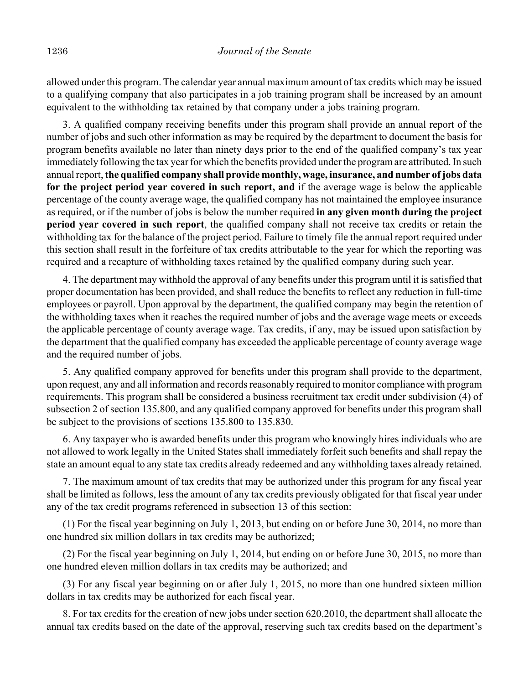allowed under this program. The calendar year annual maximum amount of tax credits which may be issued to a qualifying company that also participates in a job training program shall be increased by an amount equivalent to the withholding tax retained by that company under a jobs training program.

3. A qualified company receiving benefits under this program shall provide an annual report of the number of jobs and such other information as may be required by the department to document the basis for program benefits available no later than ninety days prior to the end of the qualified company's tax year immediately following the tax year for which the benefits provided under the program are attributed. In such annual report, **the qualified company shall provide monthly, wage, insurance, and number of jobs data for the project period year covered in such report, and** if the average wage is below the applicable percentage of the county average wage, the qualified company has not maintained the employee insurance as required, or if the number of jobs is below the number required **in any given month during the project period year covered in such report**, the qualified company shall not receive tax credits or retain the withholding tax for the balance of the project period. Failure to timely file the annual report required under this section shall result in the forfeiture of tax credits attributable to the year for which the reporting was required and a recapture of withholding taxes retained by the qualified company during such year.

4. The department may withhold the approval of any benefits under this program until it is satisfied that proper documentation has been provided, and shall reduce the benefits to reflect any reduction in full-time employees or payroll. Upon approval by the department, the qualified company may begin the retention of the withholding taxes when it reaches the required number of jobs and the average wage meets or exceeds the applicable percentage of county average wage. Tax credits, if any, may be issued upon satisfaction by the department that the qualified company has exceeded the applicable percentage of county average wage and the required number of jobs.

5. Any qualified company approved for benefits under this program shall provide to the department, upon request, any and all information and records reasonably required to monitor compliance with program requirements. This program shall be considered a business recruitment tax credit under subdivision (4) of subsection 2 of section 135.800, and any qualified company approved for benefits under this program shall be subject to the provisions of sections 135.800 to 135.830.

6. Any taxpayer who is awarded benefits under this program who knowingly hires individuals who are not allowed to work legally in the United States shall immediately forfeit such benefits and shall repay the state an amount equal to any state tax credits already redeemed and any withholding taxes already retained.

7. The maximum amount of tax credits that may be authorized under this program for any fiscal year shall be limited as follows, less the amount of any tax credits previously obligated for that fiscal year under any of the tax credit programs referenced in subsection 13 of this section:

(1) For the fiscal year beginning on July 1, 2013, but ending on or before June 30, 2014, no more than one hundred six million dollars in tax credits may be authorized;

(2) For the fiscal year beginning on July 1, 2014, but ending on or before June 30, 2015, no more than one hundred eleven million dollars in tax credits may be authorized; and

(3) For any fiscal year beginning on or after July 1, 2015, no more than one hundred sixteen million dollars in tax credits may be authorized for each fiscal year.

8. For tax credits for the creation of new jobs under section 620.2010, the department shall allocate the annual tax credits based on the date of the approval, reserving such tax credits based on the department's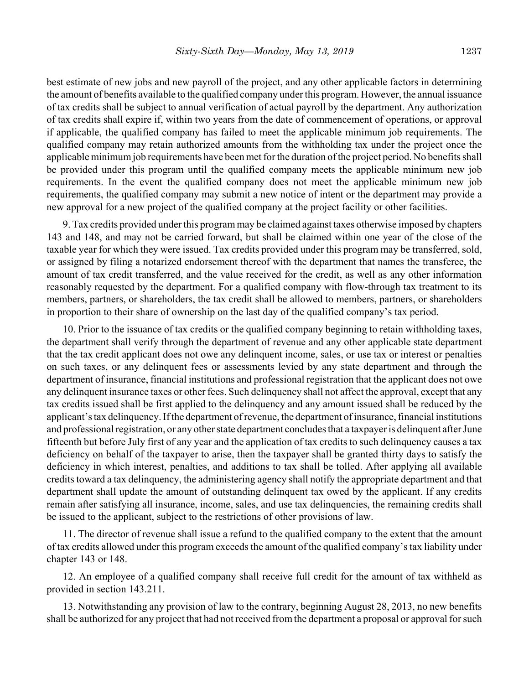best estimate of new jobs and new payroll of the project, and any other applicable factors in determining the amount of benefits available to the qualified company under this program. However, the annual issuance of tax credits shall be subject to annual verification of actual payroll by the department. Any authorization of tax credits shall expire if, within two years from the date of commencement of operations, or approval if applicable, the qualified company has failed to meet the applicable minimum job requirements. The qualified company may retain authorized amounts from the withholding tax under the project once the applicable minimum job requirements have been met for the duration of the project period. No benefits shall be provided under this program until the qualified company meets the applicable minimum new job requirements. In the event the qualified company does not meet the applicable minimum new job requirements, the qualified company may submit a new notice of intent or the department may provide a new approval for a new project of the qualified company at the project facility or other facilities.

9. Tax credits provided under this program may be claimed against taxes otherwise imposed by chapters 143 and 148, and may not be carried forward, but shall be claimed within one year of the close of the taxable year for which they were issued. Tax credits provided under this program may be transferred, sold, or assigned by filing a notarized endorsement thereof with the department that names the transferee, the amount of tax credit transferred, and the value received for the credit, as well as any other information reasonably requested by the department. For a qualified company with flow-through tax treatment to its members, partners, or shareholders, the tax credit shall be allowed to members, partners, or shareholders in proportion to their share of ownership on the last day of the qualified company's tax period.

10. Prior to the issuance of tax credits or the qualified company beginning to retain withholding taxes, the department shall verify through the department of revenue and any other applicable state department that the tax credit applicant does not owe any delinquent income, sales, or use tax or interest or penalties on such taxes, or any delinquent fees or assessments levied by any state department and through the department of insurance, financial institutions and professional registration that the applicant does not owe any delinquent insurance taxes or other fees. Such delinquency shall not affect the approval, except that any tax credits issued shall be first applied to the delinquency and any amount issued shall be reduced by the applicant's tax delinquency. If the department of revenue, the department of insurance, financial institutions and professional registration, or any other state department concludes that a taxpayer is delinquent after June fifteenth but before July first of any year and the application of tax credits to such delinquency causes a tax deficiency on behalf of the taxpayer to arise, then the taxpayer shall be granted thirty days to satisfy the deficiency in which interest, penalties, and additions to tax shall be tolled. After applying all available credits toward a tax delinquency, the administering agency shall notify the appropriate department and that department shall update the amount of outstanding delinquent tax owed by the applicant. If any credits remain after satisfying all insurance, income, sales, and use tax delinquencies, the remaining credits shall be issued to the applicant, subject to the restrictions of other provisions of law.

11. The director of revenue shall issue a refund to the qualified company to the extent that the amount of tax credits allowed under this program exceeds the amount of the qualified company's tax liability under chapter 143 or 148.

12. An employee of a qualified company shall receive full credit for the amount of tax withheld as provided in section 143.211.

13. Notwithstanding any provision of law to the contrary, beginning August 28, 2013, no new benefits shall be authorized for any project that had not received from the department a proposal or approval for such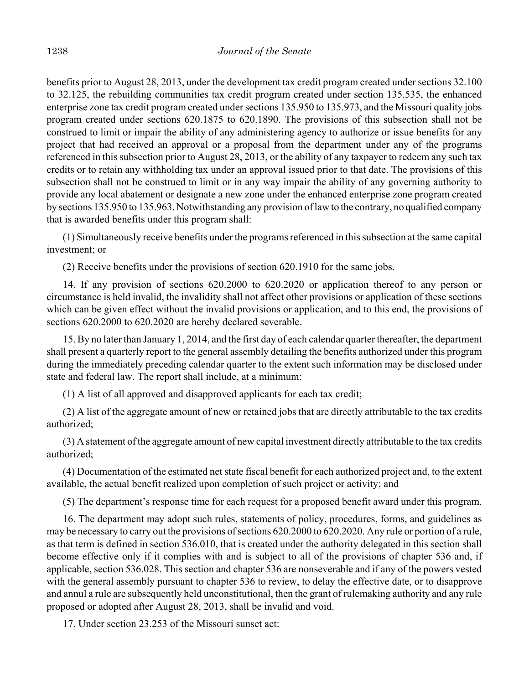benefits prior to August 28, 2013, under the development tax credit program created under sections 32.100 to 32.125, the rebuilding communities tax credit program created under section 135.535, the enhanced enterprise zone tax credit program created under sections 135.950 to 135.973, and the Missouri quality jobs program created under sections 620.1875 to 620.1890. The provisions of this subsection shall not be construed to limit or impair the ability of any administering agency to authorize or issue benefits for any project that had received an approval or a proposal from the department under any of the programs referenced in this subsection prior to August 28, 2013, or the ability of any taxpayer to redeem any such tax credits or to retain any withholding tax under an approval issued prior to that date. The provisions of this subsection shall not be construed to limit or in any way impair the ability of any governing authority to provide any local abatement or designate a new zone under the enhanced enterprise zone program created by sections 135.950 to 135.963. Notwithstanding any provision of law to the contrary, no qualified company that is awarded benefits under this program shall:

(1) Simultaneously receive benefits under the programs referenced in this subsection at the same capital investment; or

(2) Receive benefits under the provisions of section 620.1910 for the same jobs.

14. If any provision of sections 620.2000 to 620.2020 or application thereof to any person or circumstance is held invalid, the invalidity shall not affect other provisions or application of these sections which can be given effect without the invalid provisions or application, and to this end, the provisions of sections 620.2000 to 620.2020 are hereby declared severable.

15. By no later than January 1, 2014, and the first day of each calendar quarter thereafter, the department shall present a quarterly report to the general assembly detailing the benefits authorized under this program during the immediately preceding calendar quarter to the extent such information may be disclosed under state and federal law. The report shall include, at a minimum:

(1) A list of all approved and disapproved applicants for each tax credit;

(2) A list of the aggregate amount of new or retained jobs that are directly attributable to the tax credits authorized;

(3) A statement of the aggregate amount of new capital investment directly attributable to the tax credits authorized;

(4) Documentation of the estimated net state fiscal benefit for each authorized project and, to the extent available, the actual benefit realized upon completion of such project or activity; and

(5) The department's response time for each request for a proposed benefit award under this program.

16. The department may adopt such rules, statements of policy, procedures, forms, and guidelines as may be necessary to carry out the provisions of sections 620.2000 to 620.2020. Any rule or portion of a rule, as that term is defined in section 536.010, that is created under the authority delegated in this section shall become effective only if it complies with and is subject to all of the provisions of chapter 536 and, if applicable, section 536.028. This section and chapter 536 are nonseverable and if any of the powers vested with the general assembly pursuant to chapter 536 to review, to delay the effective date, or to disapprove and annul a rule are subsequently held unconstitutional, then the grant of rulemaking authority and any rule proposed or adopted after August 28, 2013, shall be invalid and void.

17. Under section 23.253 of the Missouri sunset act: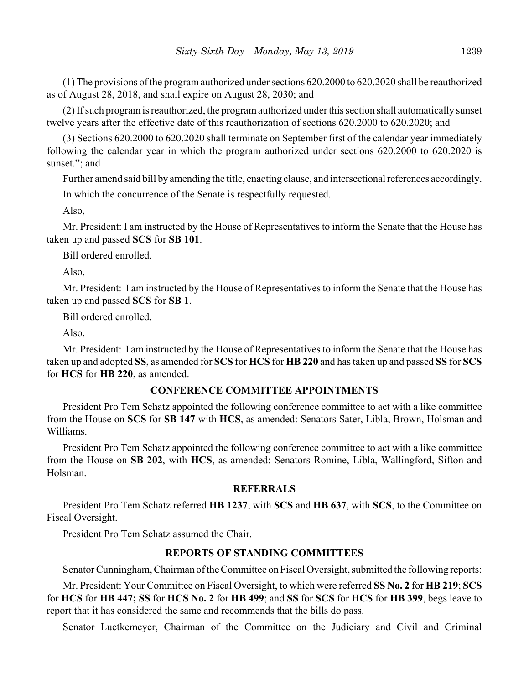(1) The provisions of the program authorized under sections 620.2000 to 620.2020 shall be reauthorized as of August 28, 2018, and shall expire on August 28, 2030; and

(2) If such program is reauthorized, the program authorized under this section shall automatically sunset twelve years after the effective date of this reauthorization of sections 620.2000 to 620.2020; and

(3) Sections 620.2000 to 620.2020 shall terminate on September first of the calendar year immediately following the calendar year in which the program authorized under sections 620.2000 to 620.2020 is sunset."; and

Further amend said bill by amending the title, enacting clause, and intersectional references accordingly.

In which the concurrence of the Senate is respectfully requested.

Also,

Mr. President: I am instructed by the House of Representatives to inform the Senate that the House has taken up and passed **SCS** for **SB 101**.

Bill ordered enrolled.

Also,

Mr. President: I am instructed by the House of Representatives to inform the Senate that the House has taken up and passed **SCS** for **SB 1**.

Bill ordered enrolled.

Also,

Mr. President: I am instructed by the House of Representatives to inform the Senate that the House has taken up and adopted **SS**, as amended for **SCS** for **HCS** for **HB 220** and has taken up and passed **SS** for **SCS** for **HCS** for **HB 220**, as amended.

#### **CONFERENCE COMMITTEE APPOINTMENTS**

President Pro Tem Schatz appointed the following conference committee to act with a like committee from the House on **SCS** for **SB 147** with **HCS**, as amended: Senators Sater, Libla, Brown, Holsman and Williams.

President Pro Tem Schatz appointed the following conference committee to act with a like committee from the House on **SB 202**, with **HCS**, as amended: Senators Romine, Libla, Wallingford, Sifton and Holsman.

### **REFERRALS**

President Pro Tem Schatz referred **HB 1237**, with **SCS** and **HB 637**, with **SCS**, to the Committee on Fiscal Oversight.

President Pro Tem Schatz assumed the Chair.

# **REPORTS OF STANDING COMMITTEES**

Senator Cunningham, Chairman of the Committee on Fiscal Oversight, submitted the following reports:

Mr. President: Your Committee on Fiscal Oversight, to which were referred **SS No. 2** for **HB 219**; **SCS** for **HCS** for **HB 447; SS** for **HCS No. 2** for **HB 499**; and **SS** for **SCS** for **HCS** for **HB 399**, begs leave to report that it has considered the same and recommends that the bills do pass.

Senator Luetkemeyer, Chairman of the Committee on the Judiciary and Civil and Criminal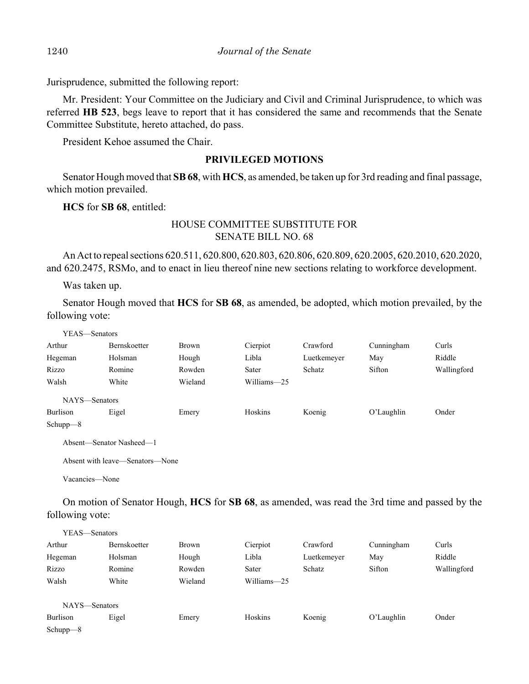Jurisprudence, submitted the following report:

Mr. President: Your Committee on the Judiciary and Civil and Criminal Jurisprudence, to which was referred **HB 523**, begs leave to report that it has considered the same and recommends that the Senate Committee Substitute, hereto attached, do pass.

President Kehoe assumed the Chair.

# **PRIVILEGED MOTIONS**

Senator Hough moved that **SB 68**, with **HCS**, as amended, be taken up for 3rd reading and final passage, which motion prevailed.

**HCS** for **SB 68**, entitled:

# HOUSE COMMITTEE SUBSTITUTE FOR SENATE BILL NO. 68

An Act to repeal sections 620.511, 620.800, 620.803, 620.806, 620.809, 620.2005, 620.2010, 620.2020, and 620.2475, RSMo, and to enact in lieu thereof nine new sections relating to workforce development.

Was taken up.

Senator Hough moved that **HCS** for **SB 68**, as amended, be adopted, which motion prevailed, by the following vote:

| YEAS—Senators  |                                 |              |             |               |            |             |
|----------------|---------------------------------|--------------|-------------|---------------|------------|-------------|
| Arthur         | Bernskoetter                    | <b>Brown</b> | Cierpiot    | Crawford      | Cunningham | Curls       |
| Hegeman        | Holsman                         | Hough        | Libla       | Luetkemeyer   | May        | Riddle      |
| Rizzo          | Romine                          | Rowden       | Sater       | <b>Schatz</b> | Sifton     | Wallingford |
| Walsh          | White                           | Wieland      | Williams-25 |               |            |             |
| NAYS-Senators  |                                 |              |             |               |            |             |
| Burlison       | Eigel                           | Emery        | Hoskins     | Koenig        | O'Laughlin | Onder       |
| Schup $p=8$    |                                 |              |             |               |            |             |
|                | Absent-Senator Nasheed-1        |              |             |               |            |             |
|                | Absent with leave—Senators—None |              |             |               |            |             |
| Vacancies—None |                                 |              |             |               |            |             |

On motion of Senator Hough, **HCS** for **SB 68**, as amended, was read the 3rd time and passed by the following vote:

| YEAS—Senators |              |              |             |             |               |             |
|---------------|--------------|--------------|-------------|-------------|---------------|-------------|
| Arthur        | Bernskoetter | <b>Brown</b> | Cierpiot    | Crawford    | Cunningham    | Curls       |
| Hegeman       | Holsman      | Hough        | Libla       | Luetkemeyer | May           | Riddle      |
| Rizzo         | Romine       | Rowden       | Sater       | Schatz      | Sifton        | Wallingford |
| Walsh         | White        | Wieland      | Williams-25 |             |               |             |
| NAYS—Senators |              |              |             |             |               |             |
| Burlison      | Eigel        | Emery        | Hoskins     | Koenig      | $O'$ Laughlin | Onder       |
| Schupp-8      |              |              |             |             |               |             |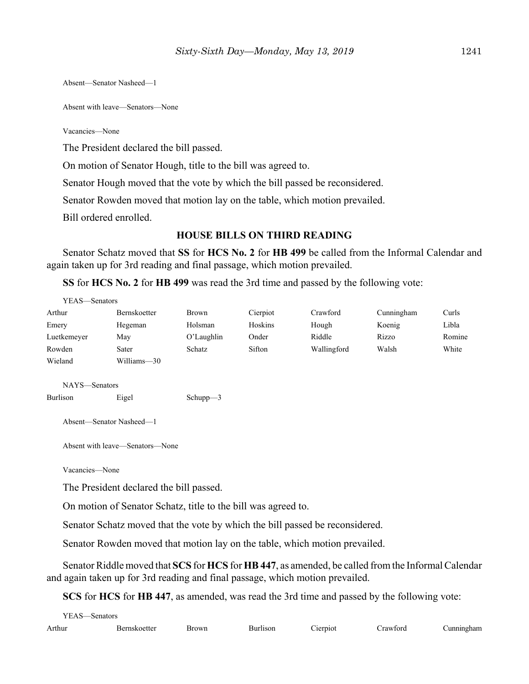Absent—Senator Nasheed—1

Absent with leave—Senators—None

Vacancies—None

The President declared the bill passed.

On motion of Senator Hough, title to the bill was agreed to.

Senator Hough moved that the vote by which the bill passed be reconsidered.

Senator Rowden moved that motion lay on the table, which motion prevailed.

Bill ordered enrolled.

#### **HOUSE BILLS ON THIRD READING**

Senator Schatz moved that **SS** for **HCS No. 2** for **HB 499** be called from the Informal Calendar and again taken up for 3rd reading and final passage, which motion prevailed.

**SS** for **HCS No. 2** for **HB 499** was read the 3rd time and passed by the following vote:

| YEAS-Senators  |                                                               |             |          |                                                                              |            |        |
|----------------|---------------------------------------------------------------|-------------|----------|------------------------------------------------------------------------------|------------|--------|
| Arthur         | Bernskoetter                                                  | Brown       | Cierpiot | Crawford                                                                     | Cunningham | Curls  |
| Emery          | Hegeman                                                       | Holsman     | Hoskins  | Hough                                                                        | Koenig     | Libla  |
| Luetkemeyer    | May                                                           | O'Laughlin  | Onder    | Riddle                                                                       | Rizzo      | Romine |
| Rowden         | Sater                                                         | Schatz      | Sifton   | Wallingford                                                                  | Walsh      | White  |
| Wieland        | Williams-30                                                   |             |          |                                                                              |            |        |
| NAYS—Senators  |                                                               |             |          |                                                                              |            |        |
| Burlison       | Eigel                                                         | Schup $p=3$ |          |                                                                              |            |        |
|                | Absent-Senator Nasheed-1                                      |             |          |                                                                              |            |        |
|                | Absent with leave—Senators—None                               |             |          |                                                                              |            |        |
| Vacancies-None |                                                               |             |          |                                                                              |            |        |
|                | The President declared the bill passed.                       |             |          |                                                                              |            |        |
|                | On motion of Senator Schatz, title to the bill was agreed to. |             |          |                                                                              |            |        |
|                |                                                               |             |          | Senator Schatz moved that the vote by which the bill passed be reconsidered. |            |        |

Senator Rowden moved that motion lay on the table, which motion prevailed.

Senator Riddle moved that **SCS** for **HCS** for **HB 447**, as amended, be called from the Informal Calendar and again taken up for 3rd reading and final passage, which motion prevailed.

**SCS** for **HCS** for **HB 447**, as amended, was read the 3rd time and passed by the following vote:

| YEAS—Senators |              |              |                 |          |          |            |
|---------------|--------------|--------------|-----------------|----------|----------|------------|
| Arthur        | Bernskoetter | <b>Brown</b> | <b>Burlison</b> | Cierpiot | Crawford | Cunningham |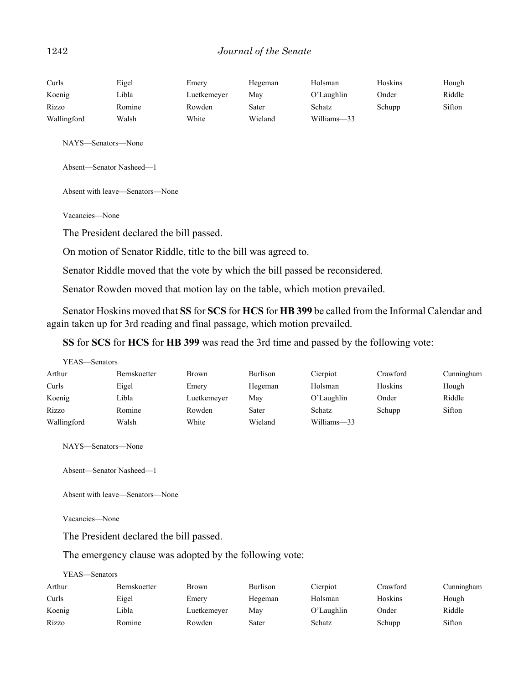#### 1242 *Journal of the Senate*

| Curls       | Eigel  | Emery       | Hegeman | Holsman     | Hoskins | Hough  |
|-------------|--------|-------------|---------|-------------|---------|--------|
| Koenig      | ∟ibla  | Luetkemeyer | Mav     | O'Laughlin  | Onder   | Riddle |
| Rizzo       | Romine | Rowden      | Sater   | Schatz      | Schupp  | Sifton |
| Wallingford | Walsh  | White       | Wieland | Williams-33 |         |        |

NAYS—Senators—None

Absent—Senator Nasheed—1

Absent with leave—Senators—None

Vacancies—None

The President declared the bill passed.

On motion of Senator Riddle, title to the bill was agreed to.

Senator Riddle moved that the vote by which the bill passed be reconsidered.

Senator Rowden moved that motion lay on the table, which motion prevailed.

Senator Hoskins moved that **SS** for **SCS** for **HCS** for **HB 399** be called from the Informal Calendar and again taken up for 3rd reading and final passage, which motion prevailed.

**SS** for **SCS** for **HCS** for **HB 399** was read the 3rd time and passed by the following vote:

| YEAS—Senators |                     |              |                 |               |          |            |
|---------------|---------------------|--------------|-----------------|---------------|----------|------------|
| Arthur        | <b>Bernskoetter</b> | <b>Brown</b> | <b>Burlison</b> | Cierpiot      | Crawford | Cunningham |
| Curls         | Eigel               | Emery        | Hegeman         | Holsman       | Hoskins  | Hough      |
| Koenig        | Libla               | Luetkemeyer  | May             | $O'$ Laughlin | Onder    | Riddle     |
| Rizzo         | Romine              | Rowden       | Sater           | Schatz        | Schupp   | Sifton     |
| Wallingford   | Walsh               | White        | Wieland         | Williams-33   |          |            |

NAYS—Senators—None

Absent—Senator Nasheed—1

Absent with leave—Senators—None

Vacancies—None

The President declared the bill passed.

The emergency clause was adopted by the following vote:

#### YEAS—Senators

| Arthur | <b>Bernskoetter</b> | <b>Brown</b> | <b>Burlison</b> | Cierpiot   | Crawford | Cunningham |
|--------|---------------------|--------------|-----------------|------------|----------|------------|
| Curls  | Eigel               | Emery        | Hegeman         | Holsman    | Hoskins  | Hough      |
| Koenig | Libla               | Luetkemever  | Mav             | O'Laughlin | Onder    | Riddle     |
| Rizzo  | Romine              | Rowden       | Sater           | Schatz     | Schupp   | Sifton     |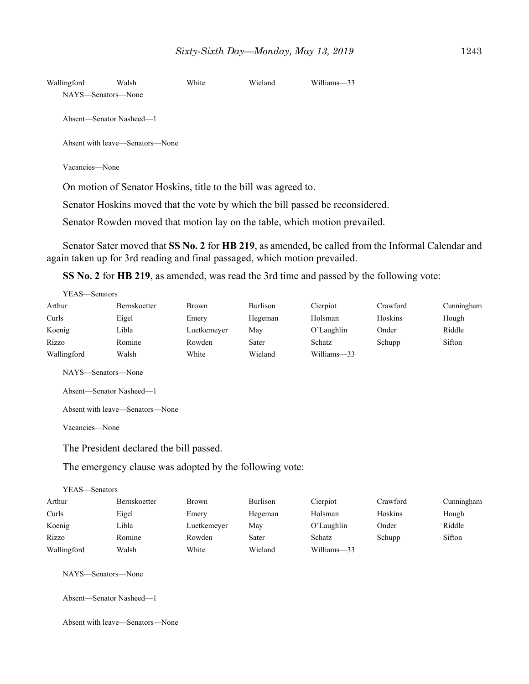| Wallingford    | Walsh                           | White | Wieland | Williams-33 |
|----------------|---------------------------------|-------|---------|-------------|
|                | NAYS—Senators—None              |       |         |             |
|                |                                 |       |         |             |
|                | Absent—Senator Nasheed—1        |       |         |             |
|                | Absent with leave—Senators—None |       |         |             |
|                |                                 |       |         |             |
| Vacancies—None |                                 |       |         |             |

On motion of Senator Hoskins, title to the bill was agreed to.

Senator Hoskins moved that the vote by which the bill passed be reconsidered.

Senator Rowden moved that motion lay on the table, which motion prevailed.

Senator Sater moved that **SS No. 2** for **HB 219**, as amended, be called from the Informal Calendar and again taken up for 3rd reading and final passaged, which motion prevailed.

**SS No. 2** for **HB 219**, as amended, was read the 3rd time and passed by the following vote:

| YEAS—Senators |              |              |          |             |          |            |
|---------------|--------------|--------------|----------|-------------|----------|------------|
| Arthur        | Bernskoetter | <b>Brown</b> | Burlison | Cierpiot    | Crawford | Cunningham |
| Curls         | Eigel        | Emery        | Hegeman  | Holsman     | Hoskins  | Hough      |
| Koenig        | Libla        | Luetkemeyer  | May      | O'Laughlin  | Onder    | Riddle     |
| Rizzo         | Romine       | Rowden       | Sater    | Schatz      | Schupp   | Sifton     |
| Wallingford   | Walsh        | White        | Wieland  | Williams-33 |          |            |
|               |              |              |          |             |          |            |

NAYS—Senators—None

```
Absent—Senator Nasheed—1
```
Absent with leave—Senators—None

Vacancies—None

The President declared the bill passed.

The emergency clause was adopted by the following vote:

| YEAS—Senators |                     |              |          |             |          |            |
|---------------|---------------------|--------------|----------|-------------|----------|------------|
| Arthur        | <b>Bernskoetter</b> | <b>Brown</b> | Burlison | Cierpiot    | Crawford | Cunningham |
| Curls         | Eigel               | Emery        | Hegeman  | Holsman     | Hoskins  | Hough      |
| Koenig        | Libla               | Luetkemeyer  | May      | O'Laughlin  | Onder    | Riddle     |
| Rizzo         | Romine              | Rowden       | Sater    | Schatz      | Schupp   | Sifton     |
| Wallingford   | Walsh               | White        | Wieland  | Williams-33 |          |            |

NAYS—Senators—None

Absent—Senator Nasheed—1

Absent with leave—Senators—None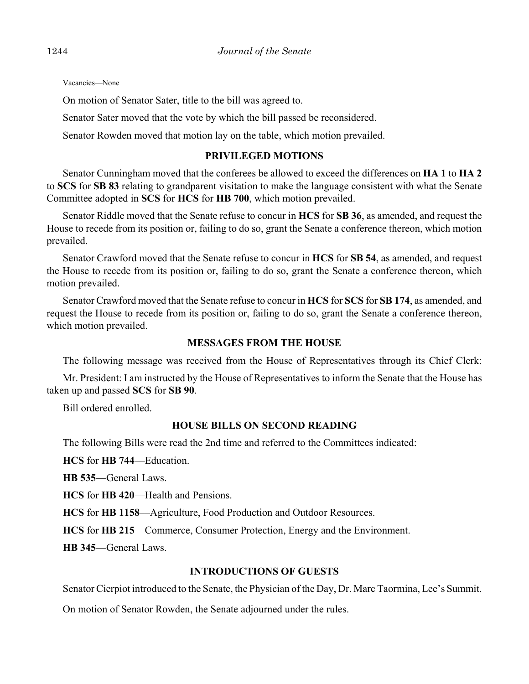Vacancies—None

On motion of Senator Sater, title to the bill was agreed to.

Senator Sater moved that the vote by which the bill passed be reconsidered.

Senator Rowden moved that motion lay on the table, which motion prevailed.

#### **PRIVILEGED MOTIONS**

Senator Cunningham moved that the conferees be allowed to exceed the differences on **HA 1** to **HA 2** to **SCS** for **SB 83** relating to grandparent visitation to make the language consistent with what the Senate Committee adopted in **SCS** for **HCS** for **HB 700**, which motion prevailed.

Senator Riddle moved that the Senate refuse to concur in **HCS** for **SB 36**, as amended, and request the House to recede from its position or, failing to do so, grant the Senate a conference thereon, which motion prevailed.

Senator Crawford moved that the Senate refuse to concur in **HCS** for **SB 54**, as amended, and request the House to recede from its position or, failing to do so, grant the Senate a conference thereon, which motion prevailed.

Senator Crawford moved that the Senate refuse to concur in **HCS** for **SCS** for **SB 174**, as amended, and request the House to recede from its position or, failing to do so, grant the Senate a conference thereon, which motion prevailed.

#### **MESSAGES FROM THE HOUSE**

The following message was received from the House of Representatives through its Chief Clerk:

Mr. President: I am instructed by the House of Representatives to inform the Senate that the House has taken up and passed **SCS** for **SB 90**.

Bill ordered enrolled.

# **HOUSE BILLS ON SECOND READING**

The following Bills were read the 2nd time and referred to the Committees indicated:

**HCS** for **HB 744**––Education.

**HB 535**––General Laws.

**HCS** for **HB 420**––Health and Pensions.

**HCS** for **HB 1158**––Agriculture, Food Production and Outdoor Resources.

**HCS** for **HB 215**––Commerce, Consumer Protection, Energy and the Environment.

**HB 345**––General Laws.

# **INTRODUCTIONS OF GUESTS**

Senator Cierpiot introduced to the Senate, the Physician of the Day, Dr. Marc Taormina, Lee's Summit.

On motion of Senator Rowden, the Senate adjourned under the rules.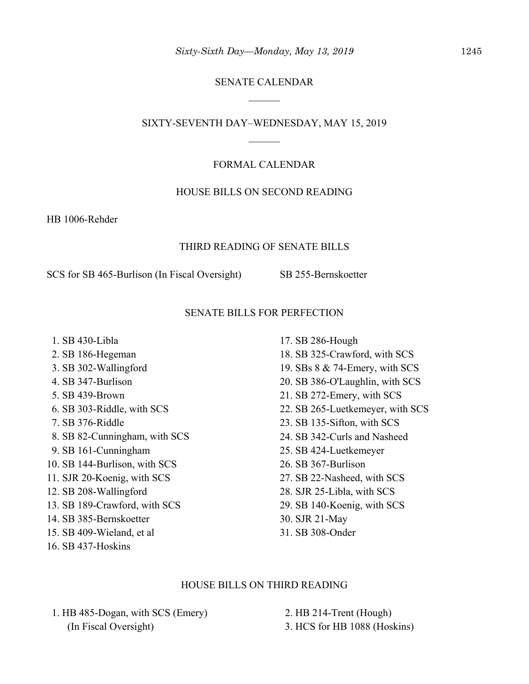# SENATE CALENDAR

#### SIXTY-SEVENTH DAY–WEDNESDAY, MAY 15, 2019

#### FORMAL CALENDAR

#### HOUSE BILLS ON SECOND READING

HB 1006-Rehder

#### THIRD READING OF SENATE BILLS

SCS for SB 465-Burlison (In Fiscal Oversight) SB 255-Bernskoetter

# SENATE BILLS FOR PERFECTION

 1. SB 430-Libla 2. SB 186-Hegeman 3. SB 302-Wallingford 4. SB 347-Burlison 5. SB 439-Brown 6. SB 303-Riddle, with SCS 7. SB 376-Riddle 8. SB 82-Cunningham, with SCS 9. SB 161-Cunningham 10. SB 144-Burlison, with SCS 11. SJR 20-Koenig, with SCS 12. SB 208-Wallingford 13. SB 189-Crawford, with SCS 14. SB 385-Bernskoetter 15. SB 409-Wieland, et al 16. SB 437-Hoskins

17. SB 286-Hough 18. SB 325-Crawford, with SCS 19. SBs 8 & 74-Emery, with SCS 20. SB 386-O'Laughlin, with SCS 21. SB 272-Emery, with SCS 22. SB 265-Luetkemeyer, with SCS 23. SB 135-Sifton, with SCS 24. SB 342-Curls and Nasheed 25. SB 424-Luetkemeyer 26. SB 367-Burlison 27. SB 22-Nasheed, with SCS 28. SJR 25-Libla, with SCS 29. SB 140-Koenig, with SCS 30. SJR 21-May 31. SB 308-Onder

### HOUSE BILLS ON THIRD READING

 1. HB 485-Dogan, with SCS (Emery) (In Fiscal Oversight)

 2. HB 214-Trent (Hough) 3. HCS for HB 1088 (Hoskins)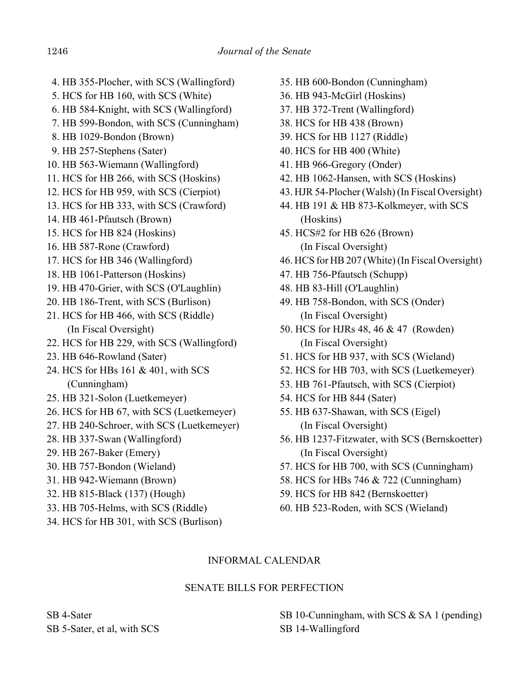- 4. HB 355-Plocher, with SCS (Wallingford)
- 5. HCS for HB 160, with SCS (White)
- 6. HB 584-Knight, with SCS (Wallingford)
- 7. HB 599-Bondon, with SCS (Cunningham)
- 8. HB 1029-Bondon (Brown)
- 9. HB 257-Stephens (Sater)
- 10. HB 563-Wiemann (Wallingford)
- 11. HCS for HB 266, with SCS (Hoskins)
- 12. HCS for HB 959, with SCS (Cierpiot)
- 13. HCS for HB 333, with SCS (Crawford)
- 14. HB 461-Pfautsch (Brown)
- 15. HCS for HB 824 (Hoskins)
- 16. HB 587-Rone (Crawford)
- 17. HCS for HB 346 (Wallingford)
- 18. HB 1061-Patterson (Hoskins)
- 19. HB 470-Grier, with SCS (O'Laughlin)
- 20. HB 186-Trent, with SCS (Burlison)
- 21. HCS for HB 466, with SCS (Riddle) (In Fiscal Oversight)
- 22. HCS for HB 229, with SCS (Wallingford)
- 23. HB 646-Rowland (Sater)
- 24. HCS for HBs 161 & 401, with SCS (Cunningham)
- 25. HB 321-Solon (Luetkemeyer)
- 26. HCS for HB 67, with SCS (Luetkemeyer)
- 27. HB 240-Schroer, with SCS (Luetkemeyer)
- 28. HB 337-Swan (Wallingford)
- 29. HB 267-Baker (Emery)
- 30. HB 757-Bondon (Wieland)
- 31. HB 942-Wiemann (Brown)
- 32. HB 815-Black (137) (Hough)
- 33. HB 705-Helms, with SCS (Riddle)
- 34. HCS for HB 301, with SCS (Burlison)
- 35. HB 600-Bondon (Cunningham)
- 36. HB 943-McGirl (Hoskins)
- 37. HB 372-Trent (Wallingford)
- 38. HCS for HB 438 (Brown)
- 39. HCS for HB 1127 (Riddle)
- 40. HCS for HB 400 (White)
- 41. HB 966-Gregory (Onder)
- 42. HB 1062-Hansen, with SCS (Hoskins)
- 43. HJR 54-Plocher (Walsh) (In Fiscal Oversight)
- 44. HB 191 & HB 873-Kolkmeyer, with SCS (Hoskins)
- 45. HCS#2 for HB 626 (Brown) (In Fiscal Oversight)
- 46. HCS for HB 207 (White) (In Fiscal Oversight)
- 47. HB 756-Pfautsch (Schupp)
- 48. HB 83-Hill (O'Laughlin)
- 49. HB 758-Bondon, with SCS (Onder) (In Fiscal Oversight)
- 50. HCS for HJRs 48, 46 & 47 (Rowden) (In Fiscal Oversight)
- 51. HCS for HB 937, with SCS (Wieland)
- 52. HCS for HB 703, with SCS (Luetkemeyer)
- 53. HB 761-Pfautsch, with SCS (Cierpiot)
- 54. HCS for HB 844 (Sater)
- 55. HB 637-Shawan, with SCS (Eigel) (In Fiscal Oversight)
- 56. HB 1237-Fitzwater, with SCS (Bernskoetter) (In Fiscal Oversight)
- 57. HCS for HB 700, with SCS (Cunningham)
- 58. HCS for HBs 746 & 722 (Cunningham)
- 59. HCS for HB 842 (Bernskoetter)
- 60. HB 523-Roden, with SCS (Wieland)

# INFORMAL CALENDAR

# SENATE BILLS FOR PERFECTION

SB 4-Sater SB 5-Sater, et al, with SCS SB 10-Cunningham, with SCS & SA 1 (pending) SB 14-Wallingford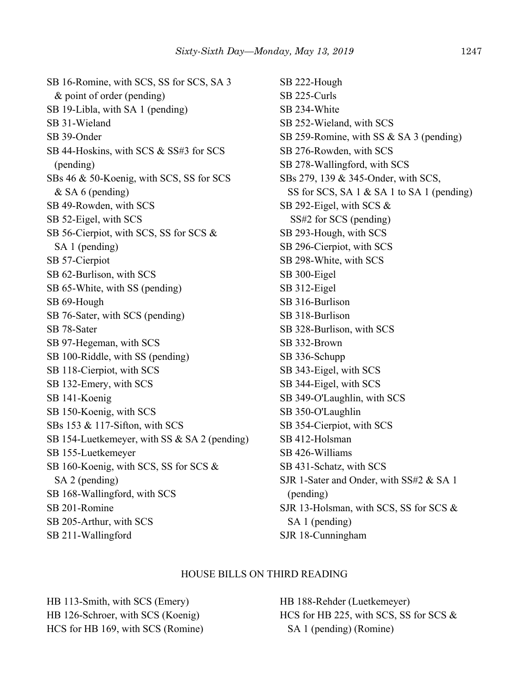SB 16-Romine, with SCS, SS for SCS, SA 3 & point of order (pending) SB 19-Libla, with SA 1 (pending) SB 31-Wieland SB 39-Onder SB 44-Hoskins, with SCS & SS#3 for SCS (pending) SBs 46 & 50-Koenig, with SCS, SS for SCS & SA 6 (pending) SB 49-Rowden, with SCS SB 52-Eigel, with SCS SB 56-Cierpiot, with SCS, SS for SCS & SA 1 (pending) SB 57-Cierpiot SB 62-Burlison, with SCS SB 65-White, with SS (pending) SB 69-Hough SB 76-Sater, with SCS (pending) SB 78-Sater SB 97-Hegeman, with SCS SB 100-Riddle, with SS (pending) SB 118-Cierpiot, with SCS SB 132-Emery, with SCS SB 141-Koenig SB 150-Koenig, with SCS SBs 153 & 117-Sifton, with SCS SB 154-Luetkemeyer, with SS & SA 2 (pending) SB 155-Luetkemeyer SB 160-Koenig, with SCS, SS for SCS & SA 2 (pending) SB 168-Wallingford, with SCS SB 201-Romine SB 205-Arthur, with SCS SB 211-Wallingford

SB 222-Hough SB 225-Curls SB 234-White SB 252-Wieland, with SCS SB 259-Romine, with SS & SA 3 (pending) SB 276-Rowden, with SCS SB 278-Wallingford, with SCS SBs 279, 139 & 345-Onder, with SCS, SS for SCS, SA 1 & SA 1 to SA 1 (pending) SB 292-Eigel, with SCS & SS#2 for SCS (pending) SB 293-Hough, with SCS SB 296-Cierpiot, with SCS SB 298-White, with SCS SB 300-Eigel SB 312-Eigel SB 316-Burlison SB 318-Burlison SB 328-Burlison, with SCS SB 332-Brown SB 336-Schupp SB 343-Eigel, with SCS SB 344-Eigel, with SCS SB 349-O'Laughlin, with SCS SB 350-O'Laughlin SB 354-Cierpiot, with SCS SB 412-Holsman SB 426-Williams SB 431-Schatz, with SCS SJR 1-Sater and Onder, with SS#2 & SA 1 (pending) SJR 13-Holsman, with SCS, SS for SCS & SA 1 (pending) SJR 18-Cunningham

#### HOUSE BILLS ON THIRD READING

HB 113-Smith, with SCS (Emery) HB 126-Schroer, with SCS (Koenig) HCS for HB 169, with SCS (Romine) HB 188-Rehder (Luetkemeyer) HCS for HB 225, with SCS, SS for SCS & SA 1 (pending) (Romine)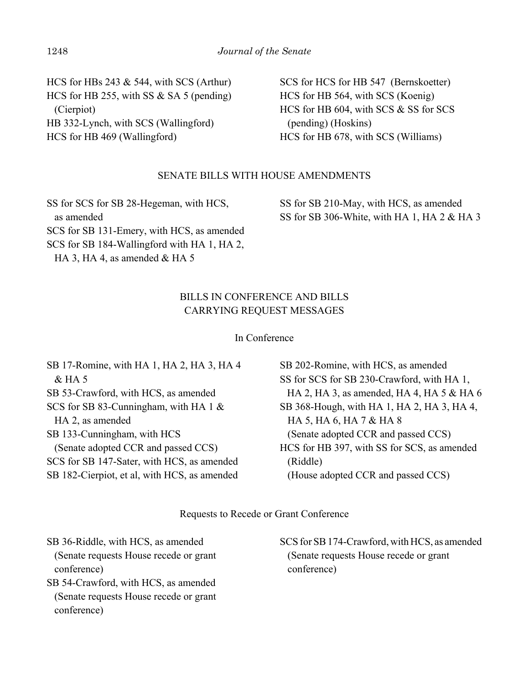HCS for HBs 243 & 544, with SCS (Arthur) HCS for HB 255, with SS & SA 5 (pending) (Cierpiot) HB 332-Lynch, with SCS (Wallingford) HCS for HB 469 (Wallingford)

SCS for HCS for HB 547 (Bernskoetter) HCS for HB 564, with SCS (Koenig) HCS for HB 604, with SCS & SS for SCS (pending) (Hoskins) HCS for HB 678, with SCS (Williams)

# SENATE BILLS WITH HOUSE AMENDMENTS

SS for SCS for SB 28-Hegeman, with HCS, as amended SCS for SB 131-Emery, with HCS, as amended SCS for SB 184-Wallingford with HA 1, HA 2, HA 3, HA 4, as amended & HA 5

SS for SB 210-May, with HCS, as amended SS for SB 306-White, with HA 1, HA 2 & HA 3

# BILLS IN CONFERENCE AND BILLS CARRYING REQUEST MESSAGES

### In Conference

| SB 17-Romine, with HA 1, HA 2, HA 3, HA 4    | SB 202-Romine, with HCS, as amended         |
|----------------------------------------------|---------------------------------------------|
| $&$ HA 5                                     | SS for SCS for SB 230-Crawford, with HA 1,  |
| SB 53-Crawford, with HCS, as amended         | HA 2, HA 3, as amended, HA 4, HA 5 & HA 6   |
| SCS for SB 83-Cunningham, with HA 1 &        | SB 368-Hough, with HA 1, HA 2, HA 3, HA 4,  |
| HA 2, as amended                             | HA 5, HA 6, HA 7 & HA 8                     |
| SB 133-Cunningham, with HCS                  | (Senate adopted CCR and passed CCS)         |
| (Senate adopted CCR and passed CCS)          | HCS for HB 397, with SS for SCS, as amended |
| SCS for SB 147-Sater, with HCS, as amended   | (Riddle)                                    |
| SB 182-Cierpiot, et al, with HCS, as amended | (House adopted CCR and passed CCS)          |
|                                              |                                             |

Requests to Recede or Grant Conference

SB 36-Riddle, with HCS, as amended (Senate requests House recede or grant conference)

SB 54-Crawford, with HCS, as amended (Senate requests House recede or grant conference)

SCS for SB 174-Crawford, with HCS, as amended (Senate requests House recede or grant conference)